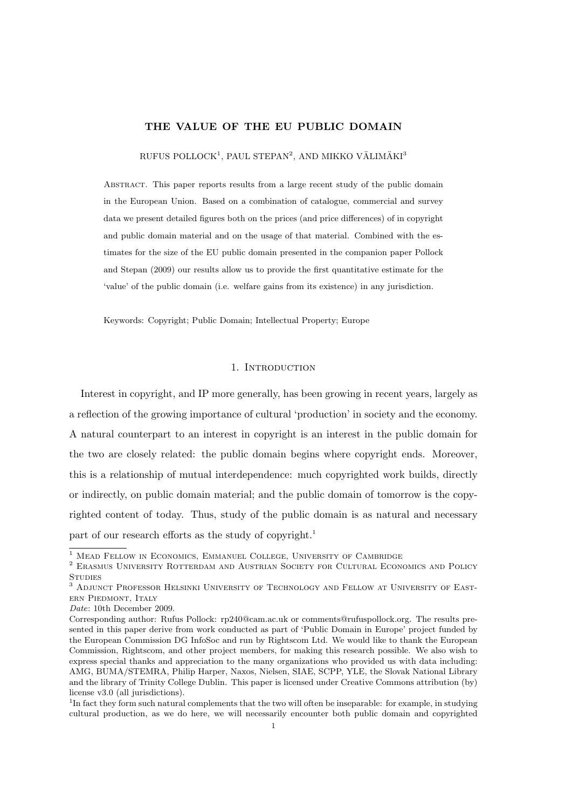# THE VALUE OF THE EU PUBLIC DOMAIN

 $RUFUS POLLOCK<sup>1</sup>, PAUL STEPAN<sup>2</sup>, AND MIKKO VÄLIMÄKI<sup>3</sup>$ 

Abstract. This paper reports results from a large recent study of the public domain in the European Union. Based on a combination of catalogue, commercial and survey data we present detailed figures both on the prices (and price differences) of in copyright and public domain material and on the usage of that material. Combined with the estimates for the size of the EU public domain presented in the companion paper Pollock and Stepan (2009) our results allow us to provide the first quantitative estimate for the 'value' of the public domain (i.e. welfare gains from its existence) in any jurisdiction.

Keywords: Copyright; Public Domain; Intellectual Property; Europe

# 1. INTRODUCTION

Interest in copyright, and IP more generally, has been growing in recent years, largely as a reflection of the growing importance of cultural 'production' in society and the economy. A natural counterpart to an interest in copyright is an interest in the public domain for the two are closely related: the public domain begins where copyright ends. Moreover, this is a relationship of mutual interdependence: much copyrighted work builds, directly or indirectly, on public domain material; and the public domain of tomorrow is the copyrighted content of today. Thus, study of the public domain is as natural and necessary part of our research efforts as the study of copyright.<sup>1</sup>

<sup>1</sup> Mead Fellow in Economics, Emmanuel College, University of Cambridge

 $^2$  Erasmus University ROTTERDAM AND AUSTRIAN SOCIETY FOR CULTURAL ECONOMICS AND POLICY **STUDIES** 

<sup>3</sup> Adjunct Professor Helsinki University of Technology and Fellow at University of Eastern Piedmont, Italy

Date: 10th December 2009.

Corresponding author: Rufus Pollock: rp240@cam.ac.uk or comments@rufuspollock.org. The results presented in this paper derive from work conducted as part of 'Public Domain in Europe' project funded by the European Commission DG InfoSoc and run by Rightscom Ltd. We would like to thank the European Commission, Rightscom, and other project members, for making this research possible. We also wish to express special thanks and appreciation to the many organizations who provided us with data including: AMG, BUMA/STEMRA, Philip Harper, Naxos, Nielsen, SIAE, SCPP, YLE, the Slovak National Library and the library of Trinity College Dublin. This paper is licensed under Creative Commons attribution (by) license v3.0 (all jurisdictions).

<sup>&</sup>lt;sup>1</sup>In fact they form such natural complements that the two will often be inseparable: for example, in studying cultural production, as we do here, we will necessarily encounter both public domain and copyrighted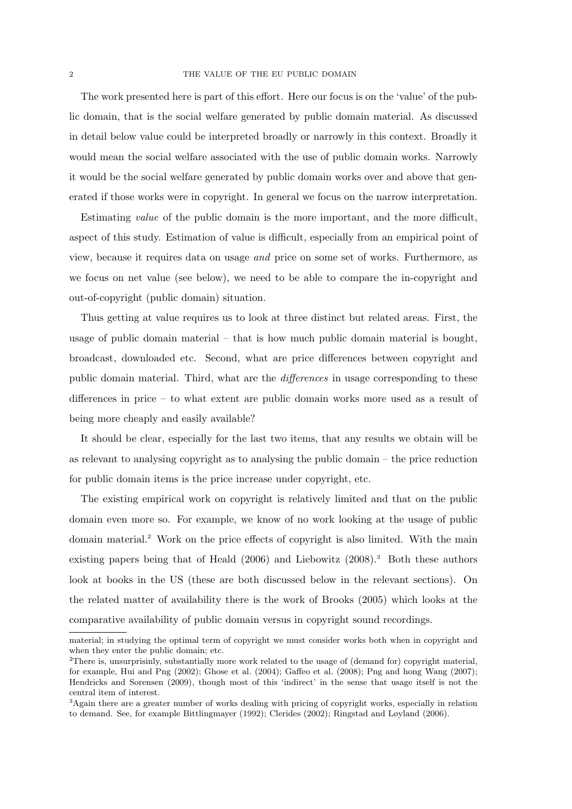The work presented here is part of this effort. Here our focus is on the 'value' of the public domain, that is the social welfare generated by public domain material. As discussed in detail below value could be interpreted broadly or narrowly in this context. Broadly it would mean the social welfare associated with the use of public domain works. Narrowly it would be the social welfare generated by public domain works over and above that generated if those works were in copyright. In general we focus on the narrow interpretation.

Estimating value of the public domain is the more important, and the more difficult, aspect of this study. Estimation of value is difficult, especially from an empirical point of view, because it requires data on usage and price on some set of works. Furthermore, as we focus on net value (see below), we need to be able to compare the in-copyright and out-of-copyright (public domain) situation.

Thus getting at value requires us to look at three distinct but related areas. First, the usage of public domain material – that is how much public domain material is bought, broadcast, downloaded etc. Second, what are price differences between copyright and public domain material. Third, what are the differences in usage corresponding to these differences in price – to what extent are public domain works more used as a result of being more cheaply and easily available?

It should be clear, especially for the last two items, that any results we obtain will be as relevant to analysing copyright as to analysing the public domain – the price reduction for public domain items is the price increase under copyright, etc.

The existing empirical work on copyright is relatively limited and that on the public domain even more so. For example, we know of no work looking at the usage of public domain material.<sup>2</sup> Work on the price effects of copyright is also limited. With the main existing papers being that of Heald (2006) and Liebowitz (2008).<sup>3</sup> Both these authors look at books in the US (these are both discussed below in the relevant sections). On the related matter of availability there is the work of Brooks (2005) which looks at the comparative availability of public domain versus in copyright sound recordings.

material; in studying the optimal term of copyright we must consider works both when in copyright and when they enter the public domain; etc.

<sup>&</sup>lt;sup>2</sup>There is, unsurprisinly, substantially more work related to the usage of (demand for) copyright material, for example, Hui and Png (2002); Ghose et al. (2004); Gaffeo et al. (2008); Png and hong Wang (2007); Hendricks and Sorensen (2009), though most of this 'indirect' in the sense that usage itself is not the central item of interest.

<sup>&</sup>lt;sup>3</sup>Again there are a greater number of works dealing with pricing of copyright works, especially in relation to demand. See, for example Bittlingmayer (1992); Clerides (2002); Ringstad and Løyland (2006).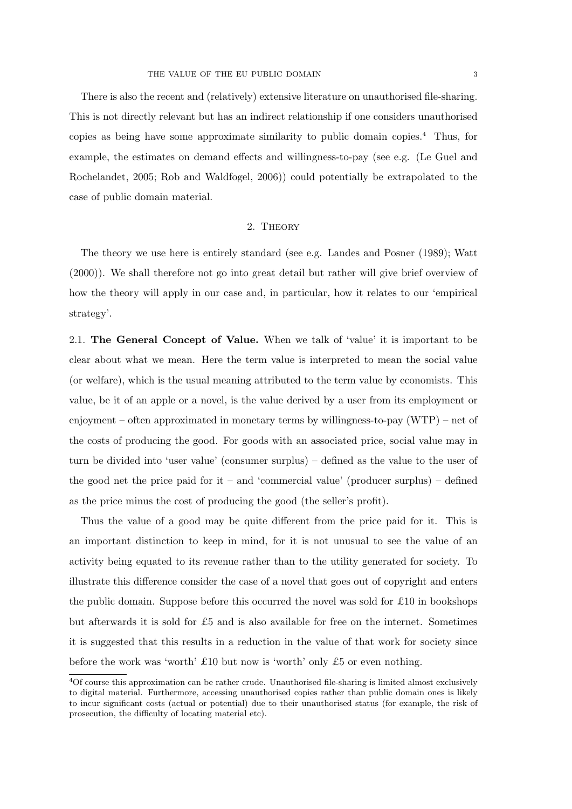There is also the recent and (relatively) extensive literature on unauthorised file-sharing. This is not directly relevant but has an indirect relationship if one considers unauthorised copies as being have some approximate similarity to public domain copies.<sup>4</sup> Thus, for example, the estimates on demand effects and willingness-to-pay (see e.g. (Le Guel and Rochelandet, 2005; Rob and Waldfogel, 2006)) could potentially be extrapolated to the case of public domain material.

# 2. Theory

The theory we use here is entirely standard (see e.g. Landes and Posner (1989); Watt (2000)). We shall therefore not go into great detail but rather will give brief overview of how the theory will apply in our case and, in particular, how it relates to our 'empirical strategy'.

2.1. The General Concept of Value. When we talk of 'value' it is important to be clear about what we mean. Here the term value is interpreted to mean the social value (or welfare), which is the usual meaning attributed to the term value by economists. This value, be it of an apple or a novel, is the value derived by a user from its employment or enjoyment – often approximated in monetary terms by willingness-to-pay  $(WTP)$  – net of the costs of producing the good. For goods with an associated price, social value may in turn be divided into 'user value' (consumer surplus) – defined as the value to the user of the good net the price paid for it – and 'commercial value' (producer surplus) – defined as the price minus the cost of producing the good (the seller's profit).

Thus the value of a good may be quite different from the price paid for it. This is an important distinction to keep in mind, for it is not unusual to see the value of an activity being equated to its revenue rather than to the utility generated for society. To illustrate this difference consider the case of a novel that goes out of copyright and enters the public domain. Suppose before this occurred the novel was sold for £10 in bookshops but afterwards it is sold for £5 and is also available for free on the internet. Sometimes it is suggested that this results in a reduction in the value of that work for society since before the work was 'worth' £10 but now is 'worth' only £5 or even nothing.

<sup>4</sup>Of course this approximation can be rather crude. Unauthorised file-sharing is limited almost exclusively to digital material. Furthermore, accessing unauthorised copies rather than public domain ones is likely to incur significant costs (actual or potential) due to their unauthorised status (for example, the risk of prosecution, the difficulty of locating material etc).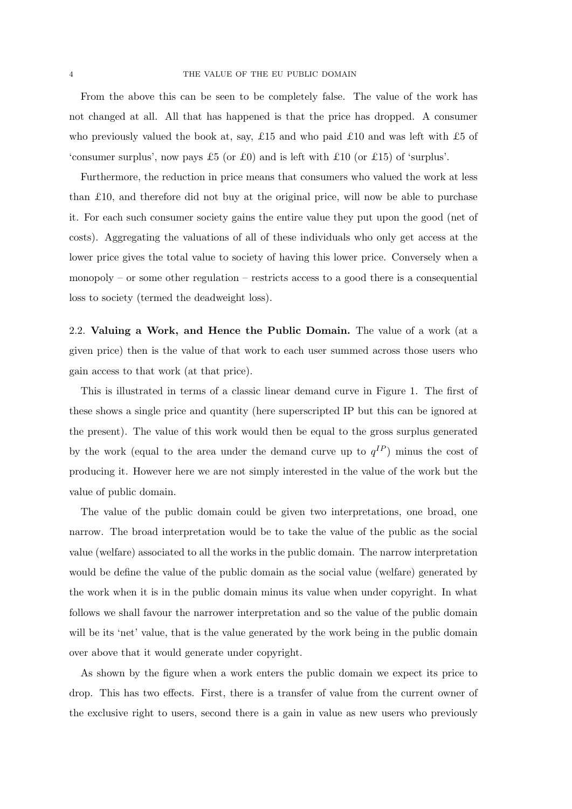From the above this can be seen to be completely false. The value of the work has not changed at all. All that has happened is that the price has dropped. A consumer who previously valued the book at, say, £15 and who paid £10 and was left with £5 of 'consumer surplus', now pays £5 (or £0) and is left with £10 (or £15) of 'surplus'.

Furthermore, the reduction in price means that consumers who valued the work at less than  $£10$ , and therefore did not buy at the original price, will now be able to purchase it. For each such consumer society gains the entire value they put upon the good (net of costs). Aggregating the valuations of all of these individuals who only get access at the lower price gives the total value to society of having this lower price. Conversely when a monopoly – or some other regulation – restricts access to a good there is a consequential loss to society (termed the deadweight loss).

2.2. Valuing a Work, and Hence the Public Domain. The value of a work (at a given price) then is the value of that work to each user summed across those users who gain access to that work (at that price).

This is illustrated in terms of a classic linear demand curve in Figure 1. The first of these shows a single price and quantity (here superscripted IP but this can be ignored at the present). The value of this work would then be equal to the gross surplus generated by the work (equal to the area under the demand curve up to  $q^{IP}$ ) minus the cost of producing it. However here we are not simply interested in the value of the work but the value of public domain.

The value of the public domain could be given two interpretations, one broad, one narrow. The broad interpretation would be to take the value of the public as the social value (welfare) associated to all the works in the public domain. The narrow interpretation would be define the value of the public domain as the social value (welfare) generated by the work when it is in the public domain minus its value when under copyright. In what follows we shall favour the narrower interpretation and so the value of the public domain will be its 'net' value, that is the value generated by the work being in the public domain over above that it would generate under copyright.

As shown by the figure when a work enters the public domain we expect its price to drop. This has two effects. First, there is a transfer of value from the current owner of the exclusive right to users, second there is a gain in value as new users who previously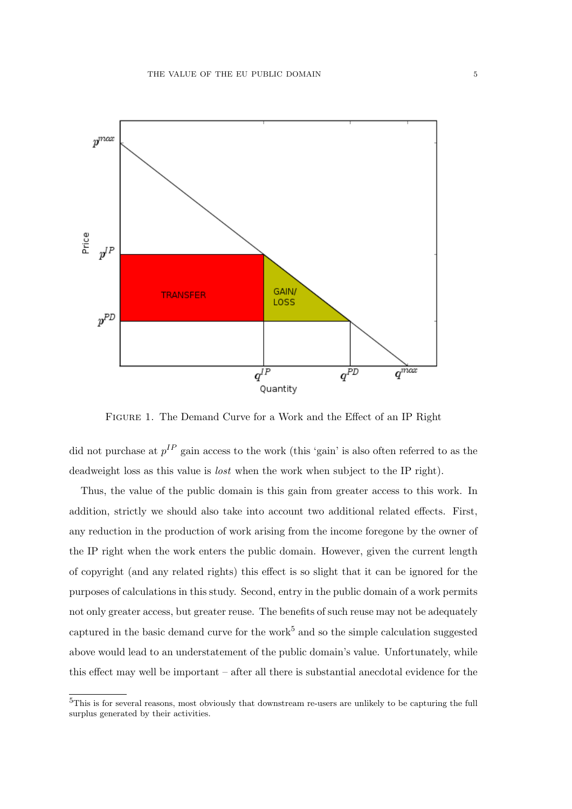

Figure 1. The Demand Curve for a Work and the Effect of an IP Right

did not purchase at  $p^{IP}$  gain access to the work (this 'gain' is also often referred to as the deadweight loss as this value is lost when the work when subject to the IP right).

Thus, the value of the public domain is this gain from greater access to this work. In addition, strictly we should also take into account two additional related effects. First, any reduction in the production of work arising from the income foregone by the owner of the IP right when the work enters the public domain. However, given the current length of copyright (and any related rights) this effect is so slight that it can be ignored for the purposes of calculations in this study. Second, entry in the public domain of a work permits not only greater access, but greater reuse. The benefits of such reuse may not be adequately captured in the basic demand curve for the work<sup>5</sup> and so the simple calculation suggested above would lead to an understatement of the public domain's value. Unfortunately, while this effect may well be important – after all there is substantial anecdotal evidence for the

<sup>5</sup>This is for several reasons, most obviously that downstream re-users are unlikely to be capturing the full surplus generated by their activities.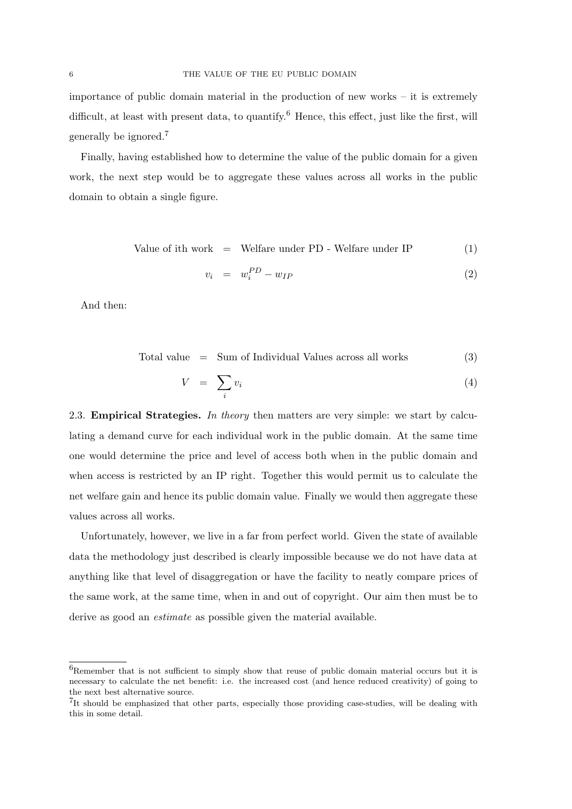importance of public domain material in the production of new works – it is extremely difficult, at least with present data, to quantify.<sup>6</sup> Hence, this effect, just like the first, will generally be ignored.<sup>7</sup>

Finally, having established how to determine the value of the public domain for a given work, the next step would be to aggregate these values across all works in the public domain to obtain a single figure.

Value of ith work = Welfare under PD - Welfare under IP 
$$
(1)
$$

$$
v_i = w_i^{PD} - w_{IP} \tag{2}
$$

And then:

$$
Total value = Sum of Individual Values across all works \t(3)
$$

$$
V = \sum_{i} v_i \tag{4}
$$

2.3. **Empirical Strategies.** In theory then matters are very simple: we start by calculating a demand curve for each individual work in the public domain. At the same time one would determine the price and level of access both when in the public domain and when access is restricted by an IP right. Together this would permit us to calculate the net welfare gain and hence its public domain value. Finally we would then aggregate these values across all works.

Unfortunately, however, we live in a far from perfect world. Given the state of available data the methodology just described is clearly impossible because we do not have data at anything like that level of disaggregation or have the facility to neatly compare prices of the same work, at the same time, when in and out of copyright. Our aim then must be to derive as good an estimate as possible given the material available.

<sup>&</sup>lt;sup>6</sup>Remember that is not sufficient to simply show that reuse of public domain material occurs but it is necessary to calculate the net benefit: i.e. the increased cost (and hence reduced creativity) of going to the next best alternative source.

<sup>&</sup>lt;sup>7</sup>It should be emphasized that other parts, especially those providing case-studies, will be dealing with this in some detail.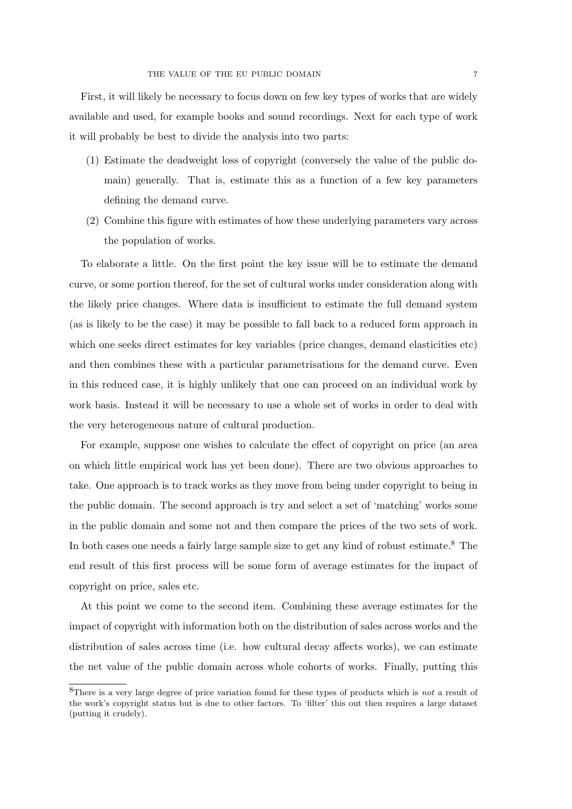First, it will likely be necessary to focus down on few key types of works that are widely available and used, for example books and sound recordings. Next for each type of work it will probably be best to divide the analysis into two parts:

- (1) Estimate the deadweight loss of copyright (conversely the value of the public domain) generally. That is, estimate this as a function of a few key parameters defining the demand curve.
- (2) Combine this figure with estimates of how these underlying parameters vary across the population of works.

To elaborate a little. On the first point the key issue will be to estimate the demand curve, or some portion thereof, for the set of cultural works under consideration along with the likely price changes. Where data is insufficient to estimate the full demand system (as is likely to be the case) it may be possible to fall back to a reduced form approach in which one seeks direct estimates for key variables (price changes, demand elasticities etc) and then combines these with a particular parametrisations for the demand curve. Even in this reduced case, it is highly unlikely that one can proceed on an individual work by work basis. Instead it will be necessary to use a whole set of works in order to deal with the very heterogeneous nature of cultural production.

For example, suppose one wishes to calculate the effect of copyright on price (an area on which little empirical work has yet been done). There are two obvious approaches to take. One approach is to track works as they move from being under copyright to being in the public domain. The second approach is try and select a set of 'matching' works some in the public domain and some not and then compare the prices of the two sets of work. In both cases one needs a fairly large sample size to get any kind of robust estimate.<sup>8</sup> The end result of this first process will be some form of average estimates for the impact of copyright on price, sales etc.

At this point we come to the second item. Combining these average estimates for the impact of copyright with information both on the distribution of sales across works and the distribution of sales across time (i.e. how cultural decay affects works), we can estimate the net value of the public domain across whole cohorts of works. Finally, putting this

<sup>&</sup>lt;sup>8</sup>There is a very large degree of price variation found for these types of products which is *not* a result of the work's copyright status but is due to other factors. To 'filter' this out then requires a large dataset (putting it crudely).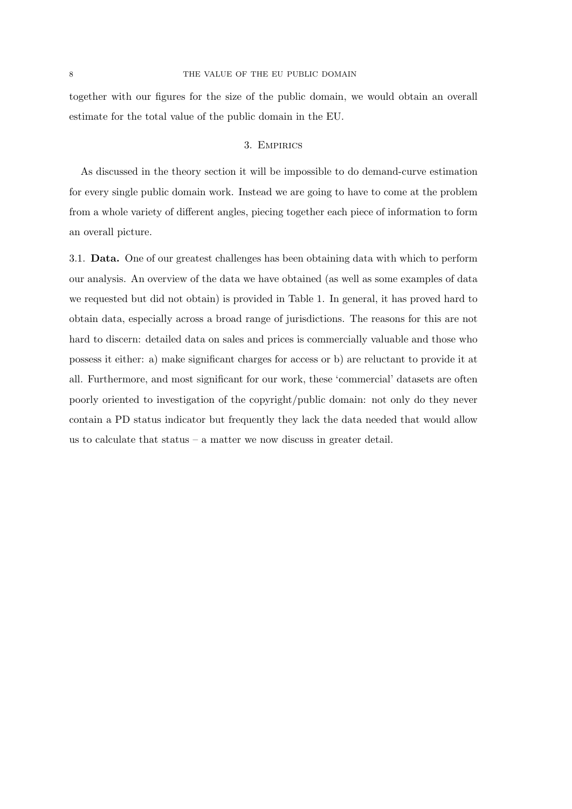together with our figures for the size of the public domain, we would obtain an overall estimate for the total value of the public domain in the EU.

# 3. Empirics

As discussed in the theory section it will be impossible to do demand-curve estimation for every single public domain work. Instead we are going to have to come at the problem from a whole variety of different angles, piecing together each piece of information to form an overall picture.

3.1. Data. One of our greatest challenges has been obtaining data with which to perform our analysis. An overview of the data we have obtained (as well as some examples of data we requested but did not obtain) is provided in Table 1. In general, it has proved hard to obtain data, especially across a broad range of jurisdictions. The reasons for this are not hard to discern: detailed data on sales and prices is commercially valuable and those who possess it either: a) make significant charges for access or b) are reluctant to provide it at all. Furthermore, and most significant for our work, these 'commercial' datasets are often poorly oriented to investigation of the copyright/public domain: not only do they never contain a PD status indicator but frequently they lack the data needed that would allow us to calculate that status  $-$  a matter we now discuss in greater detail.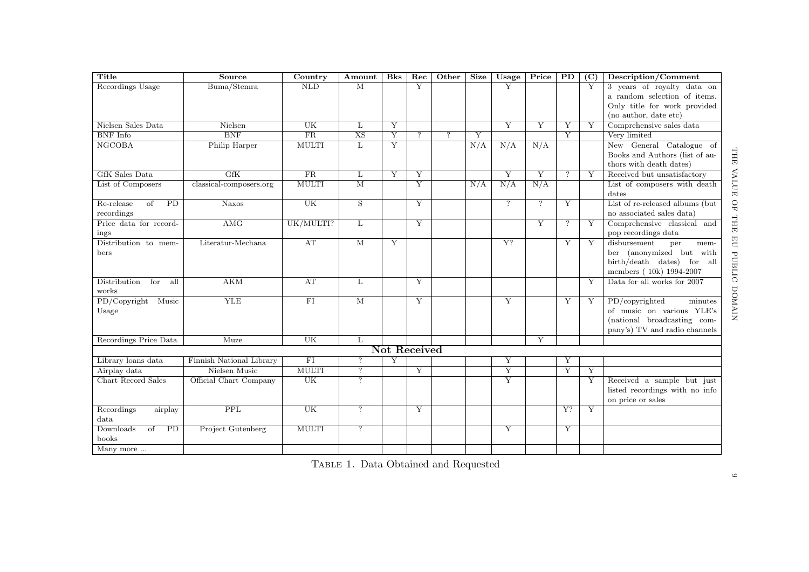| Title                      | Source                    | Country                | Amount                  | B <sub>ks</sub> | $\overline{\text{Rec}}$ | Other          | <b>Size</b> | Usage          | Price          | $\overline{PD}$    | (C) | Description/Comment             |
|----------------------------|---------------------------|------------------------|-------------------------|-----------------|-------------------------|----------------|-------------|----------------|----------------|--------------------|-----|---------------------------------|
| Recordings Usage           | Buma/Stemra               | <b>NLD</b>             | $\overline{\mathbf{M}}$ |                 | $\overline{Y}$          |                |             | $\overline{Y}$ |                |                    | Y   | 3 years of royalty data on      |
|                            |                           |                        |                         |                 |                         |                |             |                |                |                    |     | a random selection of items.    |
|                            |                           |                        |                         |                 |                         |                |             |                |                |                    |     | Only title for work provided    |
|                            |                           |                        |                         |                 |                         |                |             |                |                |                    |     | (no author, date etc)           |
| Nielsen Sales Data         | Nielsen                   | UK                     | L                       | Y               |                         |                |             | Y              | Y              | Y                  | Y   | Comprehensive sales data        |
| <b>BNF</b> Info            | $\overline{\mathrm{BNF}}$ | $\overline{\text{FR}}$ | $\overline{\text{XS}}$  | Y               | $\overline{?}$          | $\overline{?}$ | Y           |                |                | $\overline{Y}$     |     | Very limited                    |
| NGCOBA                     | Philip Harper             | <b>MULTI</b>           | L                       | Y               |                         |                | N/A         | N/A            | N/A            |                    |     | New General Catalogue of        |
|                            |                           |                        |                         |                 |                         |                |             |                |                |                    |     | Books and Authors (list of au-  |
|                            |                           |                        |                         |                 |                         |                |             |                |                |                    |     | thors with death dates)         |
| GfK Sales Data             | <b>GfK</b>                | FR                     | L                       | Y               | Y                       |                |             | Y              | Y              | $\overline{?}$     | Y   | Received but unsatisfactory     |
| List of Composers          | classical-composers.org   | <b>MULTI</b>           | $\overline{\mathbf{M}}$ |                 | $\overline{Y}$          |                | N/A         | N/A            | N/A            |                    |     | List of composers with death    |
|                            |                           |                        |                         |                 |                         |                |             |                |                |                    |     | dates                           |
| Re-release<br>PD<br>of     | $\overline{\text{Naxos}}$ | UK                     | $\overline{S}$          |                 | $\overline{Y}$          |                |             | $\overline{?}$ | $\overline{?}$ | Y                  |     | List of re-released albums (but |
| recordings                 |                           |                        |                         |                 |                         |                |             |                |                |                    |     | no associated sales data)       |
| Price data for record-     | AMG                       | UK/MULTI?              | L                       |                 | Y                       |                |             |                | Y              | $\overline{\cdot}$ | Y   | Comprehensive classical and     |
| ings                       |                           |                        |                         |                 |                         |                |             |                |                |                    |     | pop recordings data             |
| Distribution to mem-       | Literatur-Mechana         | AT                     | M                       | Y               |                         |                |             | Y?             |                | Y                  | Y   | disbursement<br>per<br>mem-     |
| bers                       |                           |                        |                         |                 |                         |                |             |                |                |                    |     | ber (anonymized but with        |
|                            |                           |                        |                         |                 |                         |                |             |                |                |                    |     | birth/death dates) for all      |
|                            |                           |                        |                         |                 |                         |                |             |                |                |                    |     | members (10k) 1994-2007         |
| Distribution<br>for<br>all | AKM                       | AT                     | L                       |                 | Y                       |                |             |                |                |                    | Y   | Data for all works for 2007     |
| works                      |                           |                        |                         |                 |                         |                |             |                |                |                    |     |                                 |
| PD/Copyright<br>Music      | <b>YLE</b>                | $\overline{\text{FI}}$ | $\overline{\mathbf{M}}$ |                 | Y                       |                |             | Y              |                | Y                  | Y   | PD/copyrighted<br>minutes       |
| Usage                      |                           |                        |                         |                 |                         |                |             |                |                |                    |     | of music on various YLE's       |
|                            |                           |                        |                         |                 |                         |                |             |                |                |                    |     | (national broadcasting com-     |
|                            |                           |                        |                         |                 |                         |                |             |                |                |                    |     | pany's) TV and radio channels   |
| Recordings Price Data      | Muze                      | UK                     | L                       |                 |                         |                |             |                | Y              |                    |     |                                 |
|                            |                           |                        |                         |                 | <b>Not Received</b>     |                |             |                |                |                    |     |                                 |
| Library loans data         | Finnish National Library  | FI                     | $\overline{?}$          | Y               |                         |                |             | Υ              |                | Y                  |     |                                 |
| Airplay data               | Nielsen Music             | <b>MULTI</b>           | $\overline{?}$          |                 | $\overline{Y}$          |                |             | $\overline{Y}$ |                | $\overline{Y}$     | Y   |                                 |
| Chart Record Sales         | Official Chart Company    | UK                     | $\overline{?}$          |                 |                         |                |             | $\overline{Y}$ |                |                    | Y   | Received a sample but just      |
|                            |                           |                        |                         |                 |                         |                |             |                |                |                    |     | listed recordings with no info  |
|                            |                           |                        |                         |                 |                         |                |             |                |                |                    |     | on price or sales               |
| Recordings<br>airplay      | $\overline{PPL}$          | UK                     | $\overline{?}$          |                 | Y                       |                |             |                |                | $Y$ ?              | Y   |                                 |
| data                       |                           |                        |                         |                 |                         |                |             |                |                |                    |     |                                 |
| Downloads<br>of<br>PD      | Project Gutenberg         | <b>MULTI</b>           | $\overline{?}$          |                 |                         |                |             | $\overline{Y}$ |                | Y                  |     |                                 |
| books                      |                           |                        |                         |                 |                         |                |             |                |                |                    |     |                                 |
| Many more                  |                           |                        |                         |                 |                         |                |             |                |                |                    |     |                                 |

TABLE 1. Data Obtained and Requested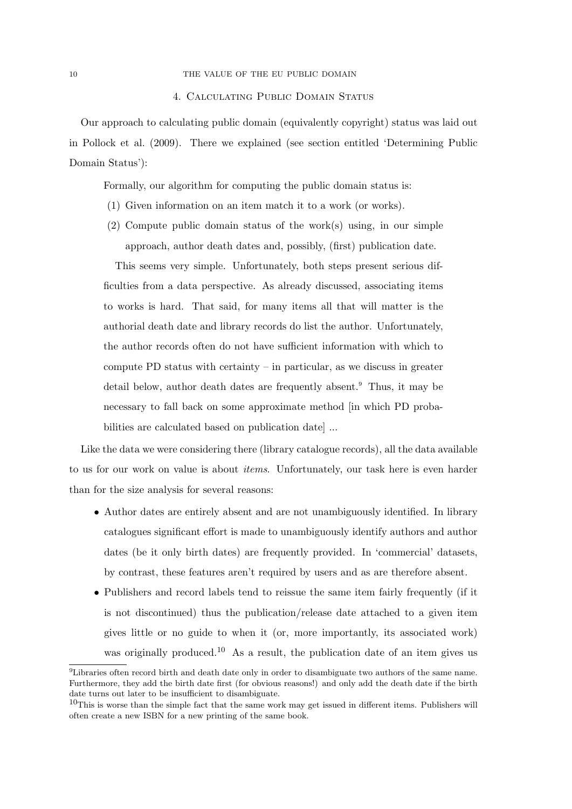#### 10 THE VALUE OF THE EU PUBLIC DOMAIN

#### 4. Calculating Public Domain Status

Our approach to calculating public domain (equivalently copyright) status was laid out in Pollock et al. (2009). There we explained (see section entitled 'Determining Public Domain Status'):

Formally, our algorithm for computing the public domain status is:

- (1) Given information on an item match it to a work (or works).
- (2) Compute public domain status of the work(s) using, in our simple approach, author death dates and, possibly, (first) publication date.

This seems very simple. Unfortunately, both steps present serious difficulties from a data perspective. As already discussed, associating items to works is hard. That said, for many items all that will matter is the authorial death date and library records do list the author. Unfortunately, the author records often do not have sufficient information with which to compute PD status with certainty  $-$  in particular, as we discuss in greater detail below, author death dates are frequently absent.<sup>9</sup> Thus, it may be necessary to fall back on some approximate method [in which PD probabilities are calculated based on publication date] ...

Like the data we were considering there (library catalogue records), all the data available to us for our work on value is about items. Unfortunately, our task here is even harder than for the size analysis for several reasons:

- Author dates are entirely absent and are not unambiguously identified. In library catalogues significant effort is made to unambiguously identify authors and author dates (be it only birth dates) are frequently provided. In 'commercial' datasets, by contrast, these features aren't required by users and as are therefore absent.
- Publishers and record labels tend to reissue the same item fairly frequently (if it is not discontinued) thus the publication/release date attached to a given item gives little or no guide to when it (or, more importantly, its associated work) was originally produced.<sup>10</sup> As a result, the publication date of an item gives us

<sup>9</sup>Libraries often record birth and death date only in order to disambiguate two authors of the same name. Furthermore, they add the birth date first (for obvious reasons!) and only add the death date if the birth date turns out later to be insufficient to disambiguate.

 $10$ This is worse than the simple fact that the same work may get issued in different items. Publishers will often create a new ISBN for a new printing of the same book.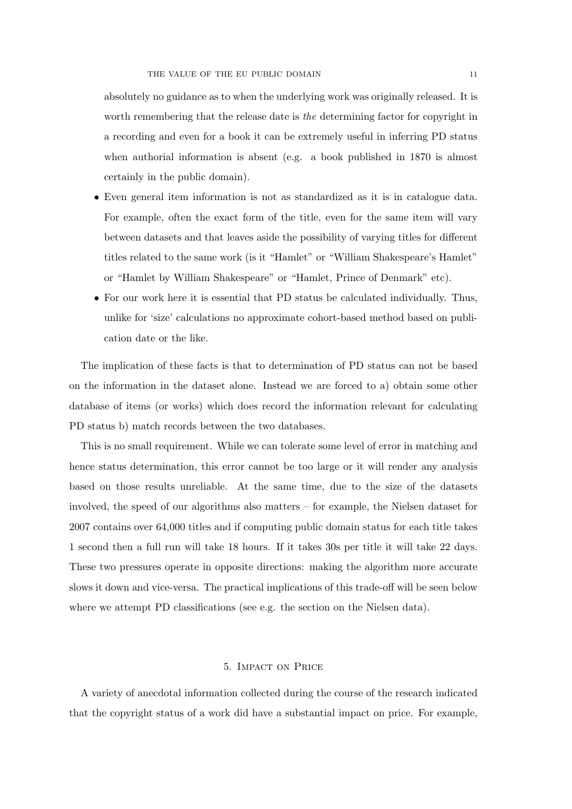absolutely no guidance as to when the underlying work was originally released. It is worth remembering that the release date is the determining factor for copyright in a recording and even for a book it can be extremely useful in inferring PD status when authorial information is absent (e.g. a book published in 1870 is almost certainly in the public domain).

- Even general item information is not as standardized as it is in catalogue data. For example, often the exact form of the title, even for the same item will vary between datasets and that leaves aside the possibility of varying titles for different titles related to the same work (is it "Hamlet" or "William Shakespeare's Hamlet" or "Hamlet by William Shakespeare" or "Hamlet, Prince of Denmark" etc).
- For our work here it is essential that PD status be calculated individually. Thus, unlike for 'size' calculations no approximate cohort-based method based on publication date or the like.

The implication of these facts is that to determination of PD status can not be based on the information in the dataset alone. Instead we are forced to a) obtain some other database of items (or works) which does record the information relevant for calculating PD status b) match records between the two databases.

This is no small requirement. While we can tolerate some level of error in matching and hence status determination, this error cannot be too large or it will render any analysis based on those results unreliable. At the same time, due to the size of the datasets involved, the speed of our algorithms also matters – for example, the Nielsen dataset for 2007 contains over 64,000 titles and if computing public domain status for each title takes 1 second then a full run will take 18 hours. If it takes 30s per title it will take 22 days. These two pressures operate in opposite directions: making the algorithm more accurate slows it down and vice-versa. The practical implications of this trade-off will be seen below where we attempt PD classifications (see e.g. the section on the Nielsen data).

# 5. Impact on Price

A variety of anecdotal information collected during the course of the research indicated that the copyright status of a work did have a substantial impact on price. For example,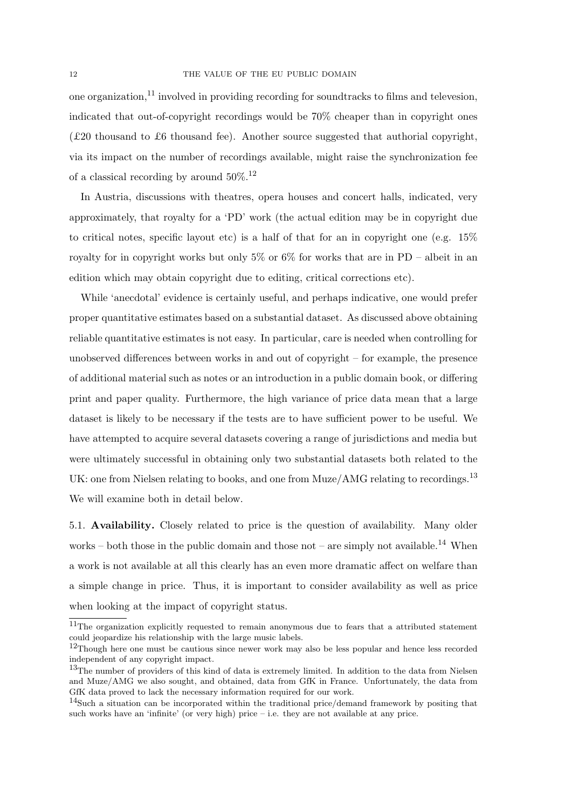one organization, $^{11}$  involved in providing recording for sound tracks to films and televesion, indicated that out-of-copyright recordings would be 70% cheaper than in copyright ones (£20 thousand to £6 thousand fee). Another source suggested that authorial copyright, via its impact on the number of recordings available, might raise the synchronization fee of a classical recording by around  $50\%$ .<sup>12</sup>

In Austria, discussions with theatres, opera houses and concert halls, indicated, very approximately, that royalty for a 'PD' work (the actual edition may be in copyright due to critical notes, specific layout etc) is a half of that for an in copyright one (e.g.  $15\%$ royalty for in copyright works but only  $5\%$  or  $6\%$  for works that are in PD – albeit in an edition which may obtain copyright due to editing, critical corrections etc).

While 'anecdotal' evidence is certainly useful, and perhaps indicative, one would prefer proper quantitative estimates based on a substantial dataset. As discussed above obtaining reliable quantitative estimates is not easy. In particular, care is needed when controlling for unobserved differences between works in and out of copyright – for example, the presence of additional material such as notes or an introduction in a public domain book, or differing print and paper quality. Furthermore, the high variance of price data mean that a large dataset is likely to be necessary if the tests are to have sufficient power to be useful. We have attempted to acquire several datasets covering a range of jurisdictions and media but were ultimately successful in obtaining only two substantial datasets both related to the UK: one from Nielsen relating to books, and one from  $Muze/AMG$  relating to recordings.<sup>13</sup> We will examine both in detail below.

5.1. Availability. Closely related to price is the question of availability. Many older works – both those in the public domain and those not – are simply not available.<sup>14</sup> When a work is not available at all this clearly has an even more dramatic affect on welfare than a simple change in price. Thus, it is important to consider availability as well as price when looking at the impact of copyright status.

<sup>&</sup>lt;sup>11</sup>The organization explicitly requested to remain anonymous due to fears that a attributed statement could jeopardize his relationship with the large music labels.

<sup>&</sup>lt;sup>12</sup>Though here one must be cautious since newer work may also be less popular and hence less recorded independent of any copyright impact.

<sup>&</sup>lt;sup>13</sup>The number of providers of this kind of data is extremely limited. In addition to the data from Nielsen and Muze/AMG we also sought, and obtained, data from GfK in France. Unfortunately, the data from GfK data proved to lack the necessary information required for our work.

<sup>&</sup>lt;sup>14</sup>Such a situation can be incorporated within the traditional price/demand framework by positing that such works have an 'infinite' (or very high) price  $-$  i.e. they are not available at any price.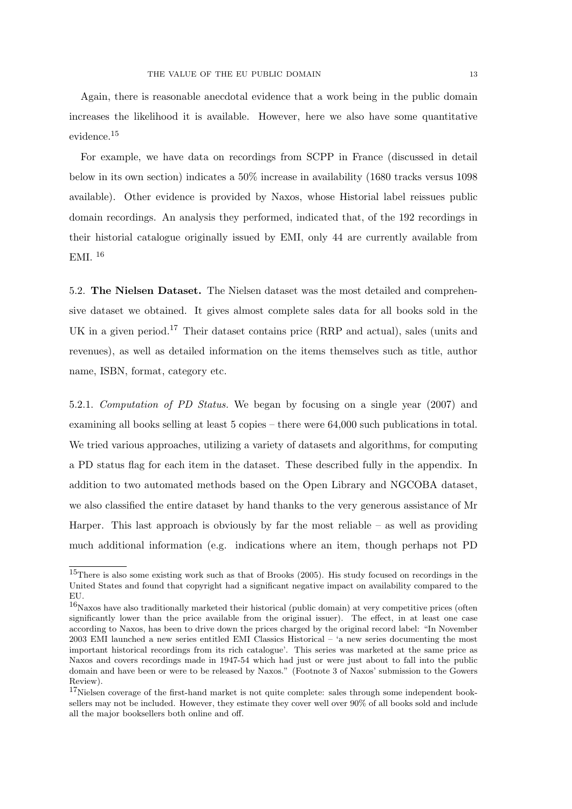Again, there is reasonable anecdotal evidence that a work being in the public domain increases the likelihood it is available. However, here we also have some quantitative evidence.<sup>15</sup>

For example, we have data on recordings from SCPP in France (discussed in detail below in its own section) indicates a 50% increase in availability (1680 tracks versus 1098 available). Other evidence is provided by Naxos, whose Historial label reissues public domain recordings. An analysis they performed, indicated that, of the 192 recordings in their historial catalogue originally issued by EMI, only 44 are currently available from EMI. <sup>16</sup>

5.2. The Nielsen Dataset. The Nielsen dataset was the most detailed and comprehensive dataset we obtained. It gives almost complete sales data for all books sold in the UK in a given period.<sup>17</sup> Their dataset contains price (RRP and actual), sales (units and revenues), as well as detailed information on the items themselves such as title, author name, ISBN, format, category etc.

5.2.1. Computation of PD Status. We began by focusing on a single year (2007) and examining all books selling at least 5 copies – there were 64,000 such publications in total. We tried various approaches, utilizing a variety of datasets and algorithms, for computing a PD status flag for each item in the dataset. These described fully in the appendix. In addition to two automated methods based on the Open Library and NGCOBA dataset, we also classified the entire dataset by hand thanks to the very generous assistance of Mr Harper. This last approach is obviously by far the most reliable  $-$  as well as providing much additional information (e.g. indications where an item, though perhaps not PD

<sup>15</sup>There is also some existing work such as that of Brooks (2005). His study focused on recordings in the United States and found that copyright had a significant negative impact on availability compared to the EU.

 $16$ Naxos have also traditionally marketed their historical (public domain) at very competitive prices (often significantly lower than the price available from the original issuer). The effect, in at least one case according to Naxos, has been to drive down the prices charged by the original record label: "In November 2003 EMI launched a new series entitled EMI Classics Historical – 'a new series documenting the most important historical recordings from its rich catalogue'. This series was marketed at the same price as Naxos and covers recordings made in 1947-54 which had just or were just about to fall into the public domain and have been or were to be released by Naxos." (Footnote 3 of Naxos' submission to the Gowers Review).

<sup>&</sup>lt;sup>17</sup>Nielsen coverage of the first-hand market is not quite complete: sales through some independent booksellers may not be included. However, they estimate they cover well over 90% of all books sold and include all the major booksellers both online and off.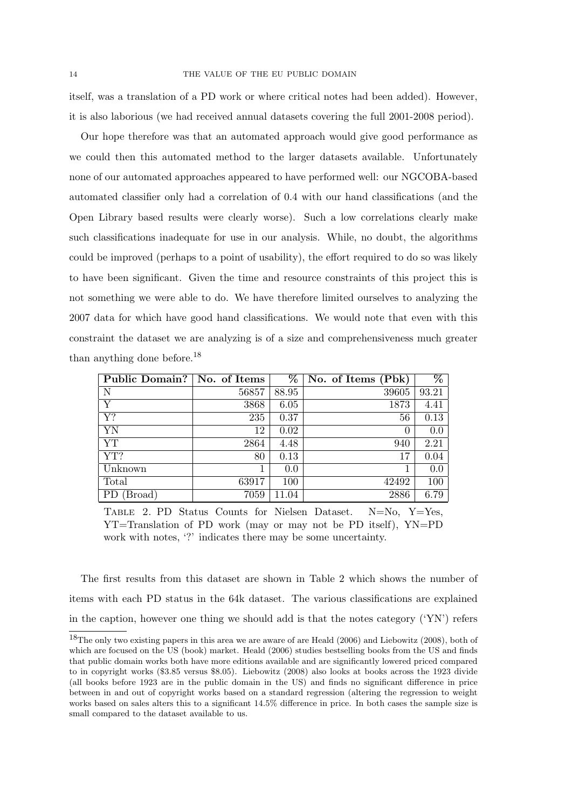itself, was a translation of a PD work or where critical notes had been added). However, it is also laborious (we had received annual datasets covering the full 2001-2008 period).

Our hope therefore was that an automated approach would give good performance as we could then this automated method to the larger datasets available. Unfortunately none of our automated approaches appeared to have performed well: our NGCOBA-based automated classifier only had a correlation of 0.4 with our hand classifications (and the Open Library based results were clearly worse). Such a low correlations clearly make such classifications inadequate for use in our analysis. While, no doubt, the algorithms could be improved (perhaps to a point of usability), the effort required to do so was likely to have been significant. Given the time and resource constraints of this project this is not something we were able to do. We have therefore limited ourselves to analyzing the 2007 data for which have good hand classifications. We would note that even with this constraint the dataset we are analyzing is of a size and comprehensiveness much greater than anything done before.<sup>18</sup>

| Public Domain?   No. of Items |       | %     | No. of Items (Pbk) | $\%$    |
|-------------------------------|-------|-------|--------------------|---------|
| N                             | 56857 | 88.95 | 39605              | 93.21   |
| Y                             | 3868  | 6.05  | 1873               | 4.41    |
| $\overline{Y?}$               | 235   | 0.37  | 56                 | 0.13    |
| YN                            | 12    | 0.02  | $\Omega$           | $0.0\,$ |
| <b>YT</b>                     | 2864  | 4.48  | 940                | 2.21    |
| $\overline{YT?}$              | 80    | 0.13  | 17                 | 0.04    |
| Unknown                       |       | 0.0   |                    | $0.0\,$ |
| Total                         | 63917 | 100   | 42492              | 100     |
| (Broad)<br>. PD               | 7059  | 11.04 | 2886               | 6.79    |

Table 2. PD Status Counts for Nielsen Dataset. N=No, Y=Yes, YT=Translation of PD work (may or may not be PD itself), YN=PD work with notes, '?' indicates there may be some uncertainty.

The first results from this dataset are shown in Table 2 which shows the number of items with each PD status in the 64k dataset. The various classifications are explained in the caption, however one thing we should add is that the notes category ('YN') refers

<sup>18</sup>The only two existing papers in this area we are aware of are Heald (2006) and Liebowitz (2008), both of which are focused on the US (book) market. Heald (2006) studies bestselling books from the US and finds that public domain works both have more editions available and are significantly lowered priced compared to in copyright works (\$3.85 versus \$8.05). Liebowitz (2008) also looks at books across the 1923 divide (all books before 1923 are in the public domain in the US) and finds no significant difference in price between in and out of copyright works based on a standard regression (altering the regression to weight works based on sales alters this to a significant 14.5% difference in price. In both cases the sample size is small compared to the dataset available to us.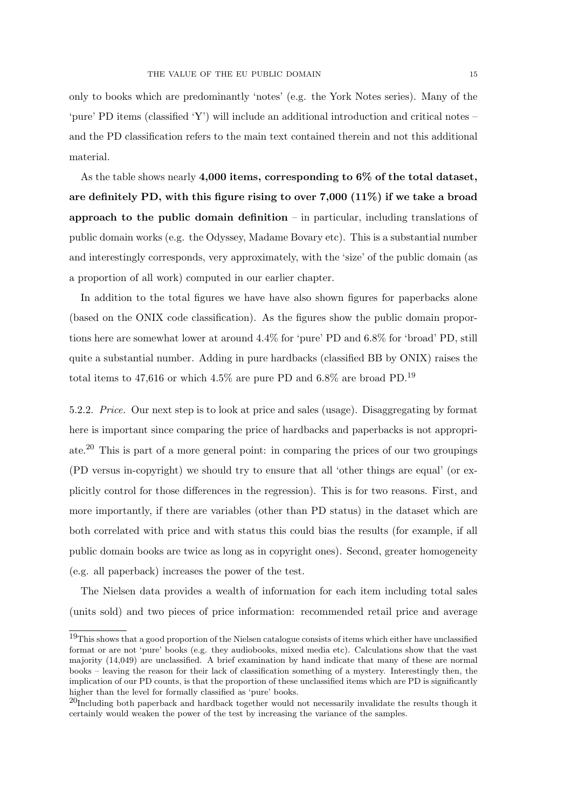only to books which are predominantly 'notes' (e.g. the York Notes series). Many of the 'pure' PD items (classified 'Y') will include an additional introduction and critical notes – and the PD classification refers to the main text contained therein and not this additional material.

As the table shows nearly 4,000 items, corresponding to 6% of the total dataset. are definitely PD, with this figure rising to over  $7,000$  (11%) if we take a broad approach to the public domain definition  $-$  in particular, including translations of public domain works (e.g. the Odyssey, Madame Bovary etc). This is a substantial number and interestingly corresponds, very approximately, with the 'size' of the public domain (as a proportion of all work) computed in our earlier chapter.

In addition to the total figures we have have also shown figures for paperbacks alone (based on the ONIX code classification). As the figures show the public domain proportions here are somewhat lower at around 4.4% for 'pure' PD and 6.8% for 'broad' PD, still quite a substantial number. Adding in pure hardbacks (classified BB by ONIX) raises the total items to 47,616 or which 4.5% are pure PD and 6.8% are broad PD.<sup>19</sup>

5.2.2. Price. Our next step is to look at price and sales (usage). Disaggregating by format here is important since comparing the price of hardbacks and paperbacks is not appropriate.<sup>20</sup> This is part of a more general point: in comparing the prices of our two groupings (PD versus in-copyright) we should try to ensure that all 'other things are equal' (or explicitly control for those differences in the regression). This is for two reasons. First, and more importantly, if there are variables (other than PD status) in the dataset which are both correlated with price and with status this could bias the results (for example, if all public domain books are twice as long as in copyright ones). Second, greater homogeneity (e.g. all paperback) increases the power of the test.

The Nielsen data provides a wealth of information for each item including total sales (units sold) and two pieces of price information: recommended retail price and average

<sup>19</sup>This shows that a good proportion of the Nielsen catalogue consists of items which either have unclassified format or are not 'pure' books (e.g. they audiobooks, mixed media etc). Calculations show that the vast majority (14,049) are unclassified. A brief examination by hand indicate that many of these are normal books – leaving the reason for their lack of classification something of a mystery. Interestingly then, the implication of our PD counts, is that the proportion of these unclassified items which are PD is significantly higher than the level for formally classified as 'pure' books.

 $^{20}$ Including both paperback and hardback together would not necessarily invalidate the results though it certainly would weaken the power of the test by increasing the variance of the samples.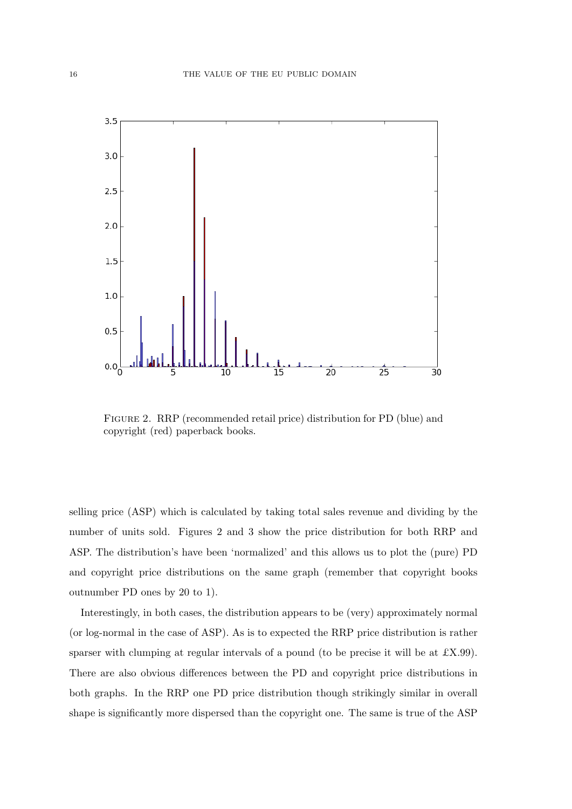

Figure 2. RRP (recommended retail price) distribution for PD (blue) and copyright (red) paperback books.

selling price (ASP) which is calculated by taking total sales revenue and dividing by the number of units sold. Figures 2 and 3 show the price distribution for both RRP and ASP. The distribution's have been 'normalized' and this allows us to plot the (pure) PD and copyright price distributions on the same graph (remember that copyright books outnumber PD ones by 20 to 1).

Interestingly, in both cases, the distribution appears to be (very) approximately normal (or log-normal in the case of ASP). As is to expected the RRP price distribution is rather sparser with clumping at regular intervals of a pound (to be precise it will be at £X.99). There are also obvious differences between the PD and copyright price distributions in both graphs. In the RRP one PD price distribution though strikingly similar in overall shape is significantly more dispersed than the copyright one. The same is true of the ASP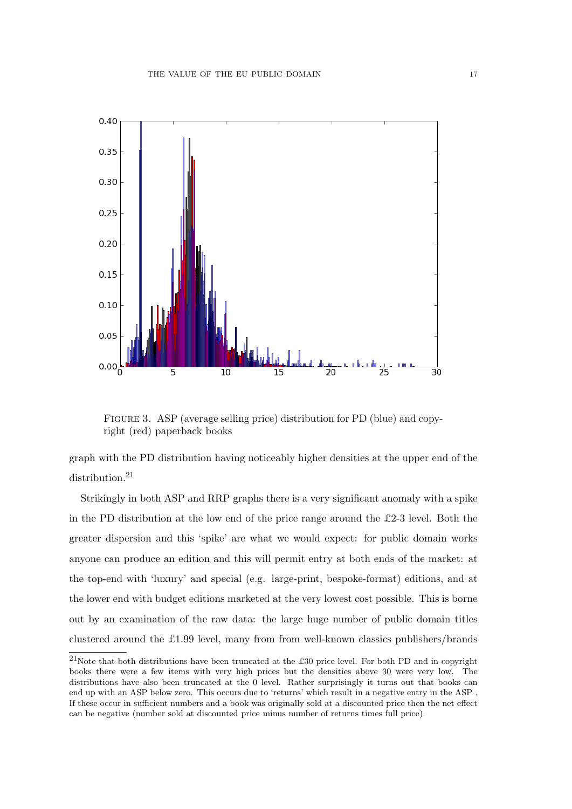

Figure 3. ASP (average selling price) distribution for PD (blue) and copyright (red) paperback books

graph with the PD distribution having noticeably higher densities at the upper end of the distribution.<sup>21</sup>

Strikingly in both ASP and RRP graphs there is a very significant anomaly with a spike in the PD distribution at the low end of the price range around the  $£2-3$  level. Both the greater dispersion and this 'spike' are what we would expect: for public domain works anyone can produce an edition and this will permit entry at both ends of the market: at the top-end with 'luxury' and special (e.g. large-print, bespoke-format) editions, and at the lower end with budget editions marketed at the very lowest cost possible. This is borne out by an examination of the raw data: the large huge number of public domain titles clustered around the £1.99 level, many from from well-known classics publishers/brands

<sup>21</sup>Note that both distributions have been truncated at the £30 price level. For both PD and in-copyright books there were a few items with very high prices but the densities above 30 were very low. The distributions have also been truncated at the 0 level. Rather surprisingly it turns out that books can end up with an ASP below zero. This occurs due to 'returns' which result in a negative entry in the ASP . If these occur in sufficient numbers and a book was originally sold at a discounted price then the net effect can be negative (number sold at discounted price minus number of returns times full price).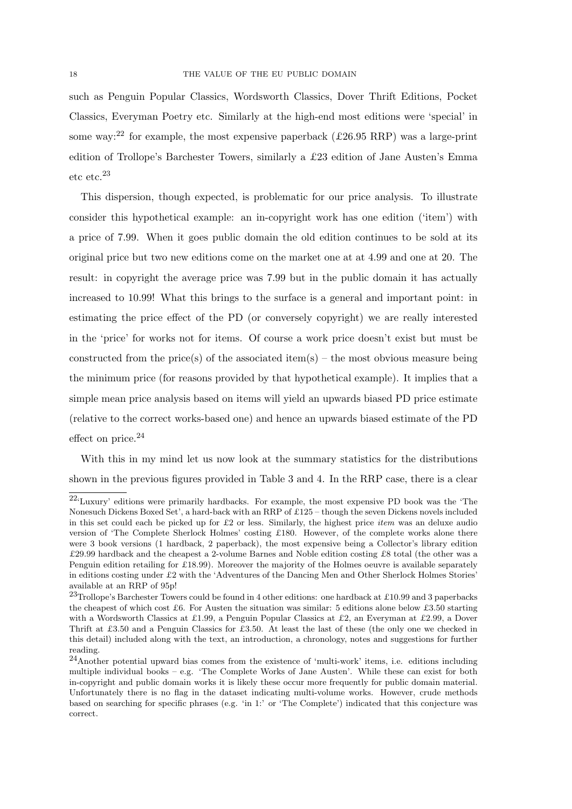such as Penguin Popular Classics, Wordsworth Classics, Dover Thrift Editions, Pocket Classics, Everyman Poetry etc. Similarly at the high-end most editions were 'special' in some way:<sup>22</sup> for example, the most expensive paperback ( $\pounds26.95$  RRP) was a large-print edition of Trollope's Barchester Towers, similarly a £23 edition of Jane Austen's Emma etc etc.<sup>23</sup>

This dispersion, though expected, is problematic for our price analysis. To illustrate consider this hypothetical example: an in-copyright work has one edition ('item') with a price of 7.99. When it goes public domain the old edition continues to be sold at its original price but two new editions come on the market one at at 4.99 and one at 20. The result: in copyright the average price was 7.99 but in the public domain it has actually increased to 10.99! What this brings to the surface is a general and important point: in estimating the price effect of the PD (or conversely copyright) we are really interested in the 'price' for works not for items. Of course a work price doesn't exist but must be constructed from the price(s) of the associated item(s) – the most obvious measure being the minimum price (for reasons provided by that hypothetical example). It implies that a simple mean price analysis based on items will yield an upwards biased PD price estimate (relative to the correct works-based one) and hence an upwards biased estimate of the PD effect on price. $24$ 

With this in my mind let us now look at the summary statistics for the distributions shown in the previous figures provided in Table 3 and 4. In the RRP case, there is a clear

<sup>22</sup>'Luxury' editions were primarily hardbacks. For example, the most expensive PD book was the 'The Nonesuch Dickens Boxed Set', a hard-back with an RRP of £125 – though the seven Dickens novels included in this set could each be picked up for £2 or less. Similarly, the highest price *item* was an deluxe audio version of 'The Complete Sherlock Holmes' costing £180. However, of the complete works alone there were 3 book versions (1 hardback, 2 paperback), the most expensive being a Collector's library edition £29.99 hardback and the cheapest a 2-volume Barnes and Noble edition costing £8 total (the other was a Penguin edition retailing for £18.99). Moreover the majority of the Holmes oeuvre is available separately in editions costing under £2 with the 'Adventures of the Dancing Men and Other Sherlock Holmes Stories' available at an RRP of 95p!

<sup>&</sup>lt;sup>23</sup>Trollope's Barchester Towers could be found in 4 other editions: one hardback at £10.99 and 3 paperbacks the cheapest of which cost £6. For Austen the situation was similar: 5 editions alone below £3.50 starting with a Wordsworth Classics at £1.99, a Penguin Popular Classics at £2, an Everyman at £2.99, a Dover Thrift at £3.50 and a Penguin Classics for £3.50. At least the last of these (the only one we checked in this detail) included along with the text, an introduction, a chronology, notes and suggestions for further reading.

 $24$ Another potential upward bias comes from the existence of 'multi-work' items, i.e. editions including multiple individual books – e.g. 'The Complete Works of Jane Austen'. While these can exist for both in-copyright and public domain works it is likely these occur more frequently for public domain material. Unfortunately there is no flag in the dataset indicating multi-volume works. However, crude methods based on searching for specific phrases (e.g. 'in 1:' or 'The Complete') indicated that this conjecture was correct.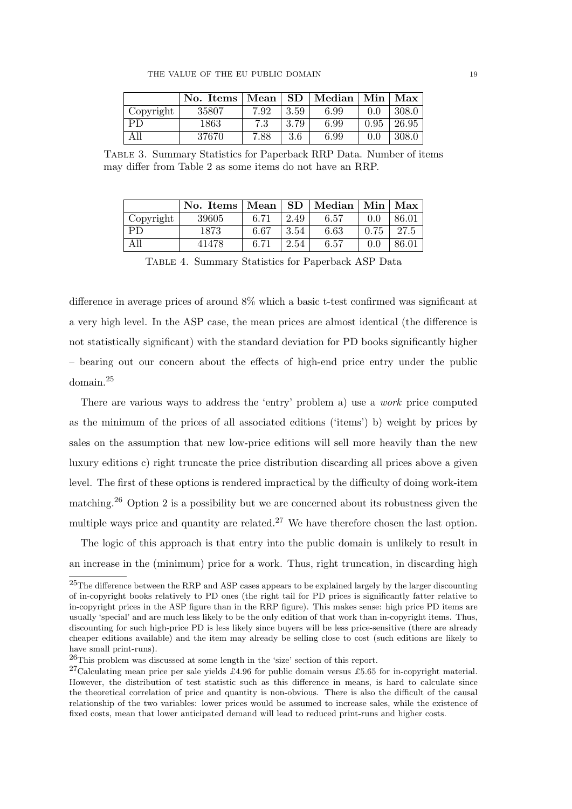|           | No. Items   Mean   SD   Median   Min   Max |      |      |      |               |       |
|-----------|--------------------------------------------|------|------|------|---------------|-------|
| Copyright | 35807                                      | 7.92 | 3.59 | 6.99 | $0.0^{\circ}$ | 308.0 |
| <b>PD</b> | 1863                                       | 7.3  | 3.79 | 6.99 | 0.95          | 26.95 |
| All       | 37670                                      | 7.88 | 3.6  | 6.99 | 0.0           | 308.0 |

Table 3. Summary Statistics for Paperback RRP Data. Number of items may differ from Table 2 as some items do not have an RRP.

|           | No. Items   Mean |      | SD   | $\mid$ Median | Min  | Max   |
|-----------|------------------|------|------|---------------|------|-------|
| Copyright | 39605            | 6.71 | 2.49 | 6.57          | 0.0  | 86.01 |
| <b>PD</b> | 1873             | 6.67 | 3.54 | 6.63          | 0.75 | 27.5  |
| All       | 41478            | 6.71 | 2.54 | 6.57          | 0.0  | 86.01 |

Table 4. Summary Statistics for Paperback ASP Data

difference in average prices of around 8% which a basic t-test confirmed was significant at a very high level. In the ASP case, the mean prices are almost identical (the difference is not statistically significant) with the standard deviation for PD books significantly higher – bearing out our concern about the effects of high-end price entry under the public domain.<sup>25</sup>

There are various ways to address the 'entry' problem a) use a work price computed as the minimum of the prices of all associated editions ('items') b) weight by prices by sales on the assumption that new low-price editions will sell more heavily than the new luxury editions c) right truncate the price distribution discarding all prices above a given level. The first of these options is rendered impractical by the difficulty of doing work-item matching.<sup>26</sup> Option 2 is a possibility but we are concerned about its robustness given the multiple ways price and quantity are related.<sup>27</sup> We have therefore chosen the last option.

The logic of this approach is that entry into the public domain is unlikely to result in an increase in the (minimum) price for a work. Thus, right truncation, in discarding high

<sup>25</sup>The difference between the RRP and ASP cases appears to be explained largely by the larger discounting of in-copyright books relatively to PD ones (the right tail for PD prices is significantly fatter relative to in-copyright prices in the ASP figure than in the RRP figure). This makes sense: high price PD items are usually 'special' and are much less likely to be the only edition of that work than in-copyright items. Thus, discounting for such high-price PD is less likely since buyers will be less price-sensitive (there are already cheaper editions available) and the item may already be selling close to cost (such editions are likely to have small print-runs).

<sup>26</sup>This problem was discussed at some length in the 'size' section of this report.

<sup>&</sup>lt;sup>27</sup>Calculating mean price per sale yields £4.96 for public domain versus £5.65 for in-copyright material. However, the distribution of test statistic such as this difference in means, is hard to calculate since the theoretical correlation of price and quantity is non-obvious. There is also the difficult of the causal relationship of the two variables: lower prices would be assumed to increase sales, while the existence of fixed costs, mean that lower anticipated demand will lead to reduced print-runs and higher costs.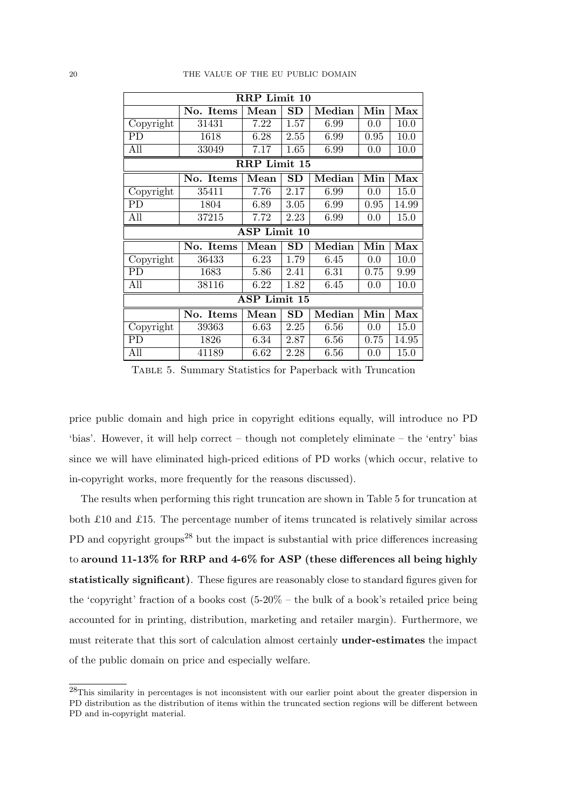|           | $\overline{\text{R}R}P$ Limit 10 |                     |                     |                        |      |       |  |  |  |
|-----------|----------------------------------|---------------------|---------------------|------------------------|------|-------|--|--|--|
|           | No. Items                        | Mean                | $\operatorname{SD}$ | Median                 | Min  | Max   |  |  |  |
| Copyright | 31431                            | 7.22                | 1.57                | 6.99                   | 0.0  | 10.0  |  |  |  |
| PD        | 1618                             | 6.28                | 2.55                | 6.99                   | 0.95 | 10.0  |  |  |  |
| All       | 33049                            | 7.17                | 1.65                | 6.99                   | 0.0  | 10.0  |  |  |  |
|           |                                  | <b>RRP</b> Limit 15 |                     |                        |      |       |  |  |  |
|           | No. Items                        | Mean                | SD                  | $\bm{\mathrm{Median}}$ | Min  | Max   |  |  |  |
| Copyright | 35411                            | 7.76                | 2.17                | 6.99                   | 0.0  | 15.0  |  |  |  |
| PD        | 1804                             | 6.89                | 3.05                | 6.99                   | 0.95 | 14.99 |  |  |  |
| All       | 37215                            | 7.72                | 2.23                | 6.99                   | 0.0  | 15.0  |  |  |  |
|           |                                  | ASP Limit 10        |                     |                        |      |       |  |  |  |
|           | No. Items                        | Mean                | SD                  | Median                 | Min  | Max   |  |  |  |
| Copyright | 36433                            | 6.23                | 1.79                | 6.45                   | 0.0  | 10.0  |  |  |  |
| PD        | 1683                             | 5.86                | 2.41                | 6.31                   | 0.75 | 9.99  |  |  |  |
| All       | 38116                            | 6.22                | 1.82                | 6.45                   | 0.0  | 10.0  |  |  |  |
|           |                                  | ASP Limit 15        |                     |                        |      |       |  |  |  |
|           | No. Items                        | Mean                | <b>SD</b>           | Median                 | Min  | Max   |  |  |  |
| Copyright | 39363                            | 6.63                | 2.25                | 6.56                   | 0.0  | 15.0  |  |  |  |
|           |                                  |                     |                     |                        |      |       |  |  |  |
| РD        | 1826                             | 6.34                | 2.87                | 6.56                   | 0.75 | 14.95 |  |  |  |

Table 5. Summary Statistics for Paperback with Truncation

price public domain and high price in copyright editions equally, will introduce no PD 'bias'. However, it will help correct – though not completely eliminate – the 'entry' bias since we will have eliminated high-priced editions of PD works (which occur, relative to in-copyright works, more frequently for the reasons discussed).

The results when performing this right truncation are shown in Table 5 for truncation at both £10 and £15. The percentage number of items truncated is relatively similar across PD and copyright groups<sup>28</sup> but the impact is substantial with price differences increasing to around 11-13% for RRP and 4-6% for ASP (these differences all being highly statistically significant). These figures are reasonably close to standard figures given for the 'copyright' fraction of a books cost  $(5-20\% - \text{the bulk of a book's retained price being})$ accounted for in printing, distribution, marketing and retailer margin). Furthermore, we must reiterate that this sort of calculation almost certainly under-estimates the impact of the public domain on price and especially welfare.

<sup>28</sup>This similarity in percentages is not inconsistent with our earlier point about the greater dispersion in PD distribution as the distribution of items within the truncated section regions will be different between PD and in-copyright material.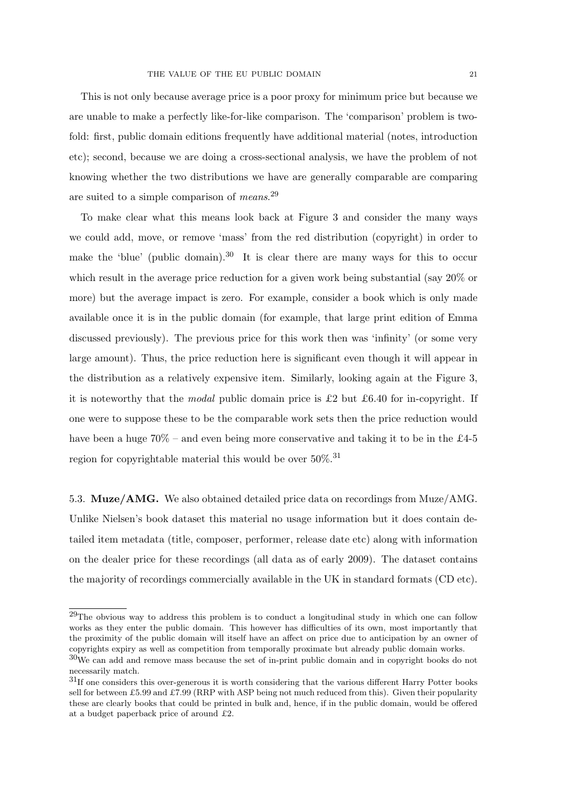This is not only because average price is a poor proxy for minimum price but because we are unable to make a perfectly like-for-like comparison. The 'comparison' problem is twofold: first, public domain editions frequently have additional material (notes, introduction etc); second, because we are doing a cross-sectional analysis, we have the problem of not knowing whether the two distributions we have are generally comparable are comparing are suited to a simple comparison of means.<sup>29</sup>

To make clear what this means look back at Figure 3 and consider the many ways we could add, move, or remove 'mass' from the red distribution (copyright) in order to make the 'blue' (public domain).<sup>30</sup> It is clear there are many ways for this to occur which result in the average price reduction for a given work being substantial (say  $20\%$  or more) but the average impact is zero. For example, consider a book which is only made available once it is in the public domain (for example, that large print edition of Emma discussed previously). The previous price for this work then was 'infinity' (or some very large amount). Thus, the price reduction here is significant even though it will appear in the distribution as a relatively expensive item. Similarly, looking again at the Figure 3, it is noteworthy that the *modal* public domain price is £2 but £6.40 for in-copyright. If one were to suppose these to be the comparable work sets then the price reduction would have been a huge  $70\%$  – and even being more conservative and taking it to be in the £4-5 region for copyrightable material this would be over  $50\%$ .<sup>31</sup>

5.3. Muze/AMG. We also obtained detailed price data on recordings from Muze/AMG. Unlike Nielsen's book dataset this material no usage information but it does contain detailed item metadata (title, composer, performer, release date etc) along with information on the dealer price for these recordings (all data as of early 2009). The dataset contains the majority of recordings commercially available in the UK in standard formats (CD etc).

<sup>&</sup>lt;sup>29</sup>The obvious way to address this problem is to conduct a longitudinal study in which one can follow works as they enter the public domain. This however has difficulties of its own, most importantly that the proximity of the public domain will itself have an affect on price due to anticipation by an owner of copyrights expiry as well as competition from temporally proximate but already public domain works.

 $30W$ e can add and remove mass because the set of in-print public domain and in copyright books do not necessarily match.

<sup>31</sup>If one considers this over-generous it is worth considering that the various different Harry Potter books sell for between £5.99 and £7.99 (RRP with ASP being not much reduced from this). Given their popularity these are clearly books that could be printed in bulk and, hence, if in the public domain, would be offered at a budget paperback price of around £2.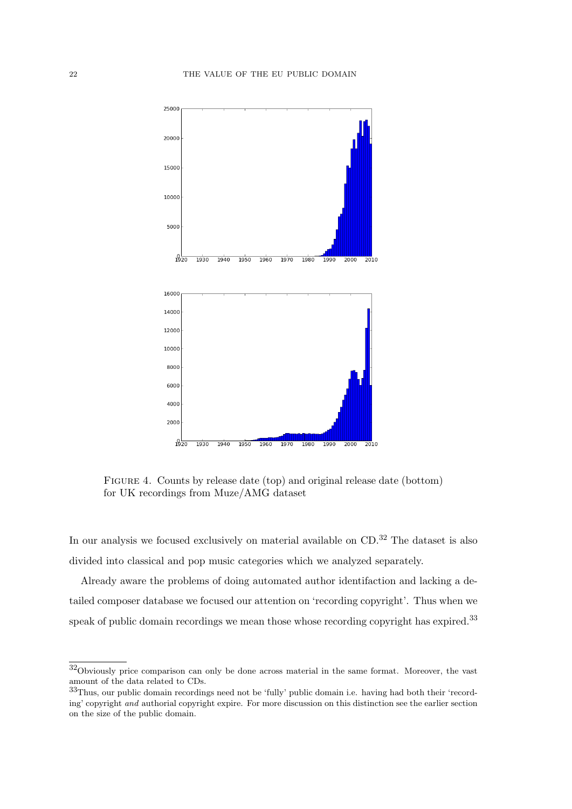

Figure 4. Counts by release date (top) and original release date (bottom) for UK recordings from Muze/AMG dataset

In our analysis we focused exclusively on material available on CD.<sup>32</sup> The dataset is also divided into classical and pop music categories which we analyzed separately.

Already aware the problems of doing automated author identifaction and lacking a detailed composer database we focused our attention on 'recording copyright'. Thus when we speak of public domain recordings we mean those whose recording copyright has expired.<sup>33</sup>

<sup>32</sup>Obviously price comparison can only be done across material in the same format. Moreover, the vast amount of the data related to CDs.

<sup>33</sup>Thus, our public domain recordings need not be 'fully' public domain i.e. having had both their 'recording' copyright and authorial copyright expire. For more discussion on this distinction see the earlier section on the size of the public domain.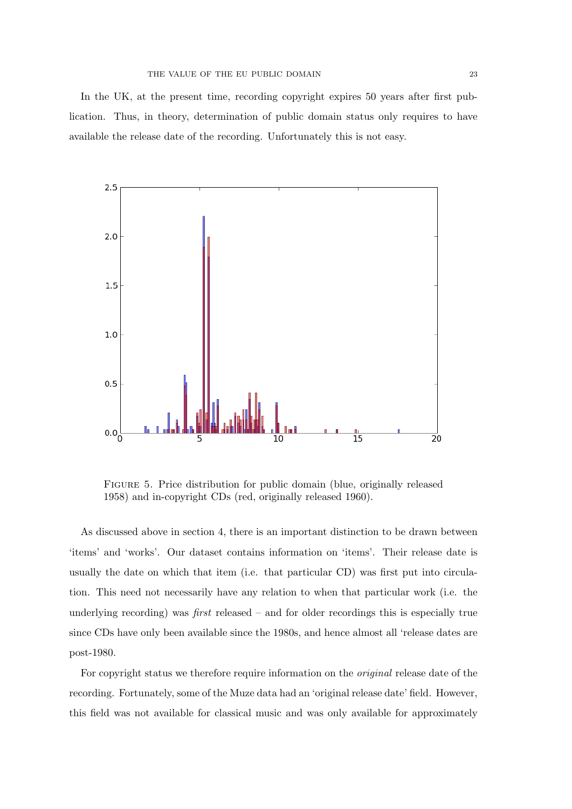In the UK, at the present time, recording copyright expires 50 years after first publication. Thus, in theory, determination of public domain status only requires to have available the release date of the recording. Unfortunately this is not easy.



Figure 5. Price distribution for public domain (blue, originally released 1958) and in-copyright CDs (red, originally released 1960).

As discussed above in section 4, there is an important distinction to be drawn between 'items' and 'works'. Our dataset contains information on 'items'. Their release date is usually the date on which that item (i.e. that particular CD) was first put into circulation. This need not necessarily have any relation to when that particular work (i.e. the underlying recording) was *first* released  $-$  and for older recordings this is especially true since CDs have only been available since the 1980s, and hence almost all 'release dates are post-1980.

For copyright status we therefore require information on the original release date of the recording. Fortunately, some of the Muze data had an 'original release date' field. However, this field was not available for classical music and was only available for approximately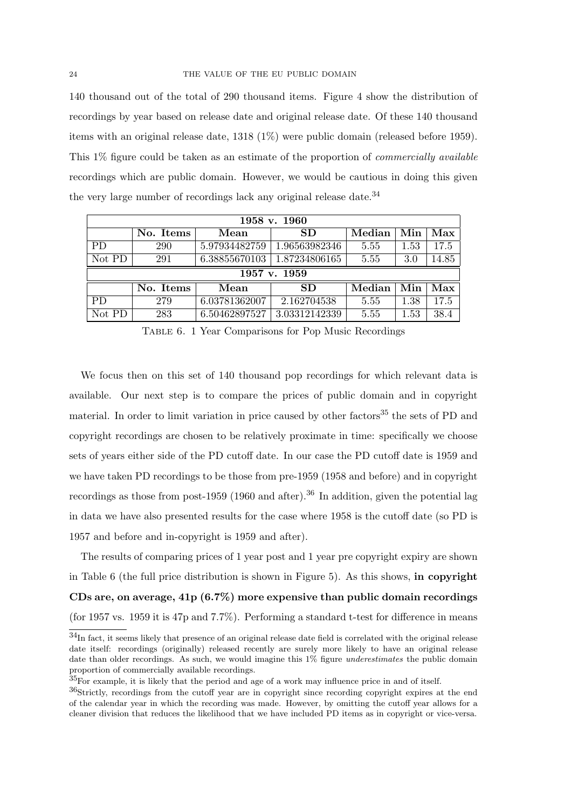140 thousand out of the total of 290 thousand items. Figure 4 show the distribution of recordings by year based on release date and original release date. Of these 140 thousand items with an original release date, 1318 (1%) were public domain (released before 1959). This 1% figure could be taken as an estimate of the proportion of commercially available recordings which are public domain. However, we would be cautious in doing this given the very large number of recordings lack any original release date.<sup>34</sup>

| 1958 v. 1960 |           |               |                                    |        |                |                    |  |  |  |
|--------------|-----------|---------------|------------------------------------|--------|----------------|--------------------|--|--|--|
|              | No. Items | Mean          | <b>SD</b>                          | Median | $\mathbf{Min}$ | $Max \mid$         |  |  |  |
| <b>PD</b>    | 290       |               | 5.97934482759   1.96563982346      | 5.55   | 1.53           | 17.5               |  |  |  |
| Not PD       | 291       |               | $6.38855670103 \mid 1.87234806165$ | 5.55   | 3.0            | 14.85              |  |  |  |
| 1957 v. 1959 |           |               |                                    |        |                |                    |  |  |  |
|              |           |               |                                    |        |                |                    |  |  |  |
|              | No. Items | Mean          | SD                                 | Median | Min            |                    |  |  |  |
| <b>PD</b>    | 279       | 6.03781362007 | 2.162704538                        | 5.55   | 1.38           | $Max \mid$<br>17.5 |  |  |  |

Table 6. 1 Year Comparisons for Pop Music Recordings

We focus then on this set of 140 thousand pop recordings for which relevant data is available. Our next step is to compare the prices of public domain and in copyright material. In order to limit variation in price caused by other factors<sup>35</sup> the sets of PD and copyright recordings are chosen to be relatively proximate in time: specifically we choose sets of years either side of the PD cutoff date. In our case the PD cutoff date is 1959 and we have taken PD recordings to be those from pre-1959 (1958 and before) and in copyright recordings as those from post-1959 (1960 and after).<sup>36</sup> In addition, given the potential lag in data we have also presented results for the case where 1958 is the cutoff date (so PD is 1957 and before and in-copyright is 1959 and after).

The results of comparing prices of 1 year post and 1 year pre copyright expiry are shown in Table 6 (the full price distribution is shown in Figure 5). As this shows, in copyright CDs are, on average,  $41p(6.7\%)$  more expensive than public domain recordings (for 1957 vs. 1959 it is 47p and 7.7%). Performing a standard t-test for difference in means

<sup>34</sup>In fact, it seems likely that presence of an original release date field is correlated with the original release date itself: recordings (originally) released recently are surely more likely to have an original release date than older recordings. As such, we would imagine this 1% figure *underestimates* the public domain proportion of commercially available recordings.

 ${}^{35}$ For example, it is likely that the period and age of a work may influence price in and of itself.

<sup>36</sup>Strictly, recordings from the cutoff year are in copyright since recording copyright expires at the end of the calendar year in which the recording was made. However, by omitting the cutoff year allows for a cleaner division that reduces the likelihood that we have included PD items as in copyright or vice-versa.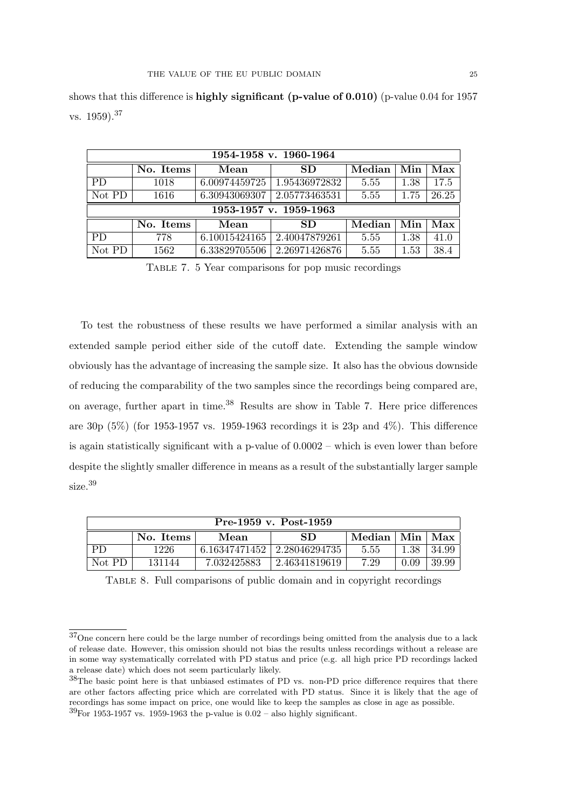|           | 1954-1958 v. 1960-1964 |               |                        |        |      |       |  |  |  |  |
|-----------|------------------------|---------------|------------------------|--------|------|-------|--|--|--|--|
|           | No. Items              | Mean          | SD.                    | Median | Min  | Max   |  |  |  |  |
| PD.       | 1018                   | 6.00974459725 | 1.95436972832          | 5.55   | 1.38 | 17.5  |  |  |  |  |
| Not PD    | 1616                   | 6.30943069307 | 2.05773463531          | 5.55   | 1.75 | 26.25 |  |  |  |  |
|           |                        |               | 1953-1957 v. 1959-1963 |        |      |       |  |  |  |  |
|           |                        |               |                        |        |      |       |  |  |  |  |
|           | No. Items              | Mean          | SD.                    | Median | Min  | Max   |  |  |  |  |
| <b>PD</b> | 778                    | 6.10015424165 | 2.40047879261          | 5.55   | 1.38 | 41.0  |  |  |  |  |

shows that this difference is **highly significant** (**p-value of 0.010**) (p-value 0.04 for 1957 vs. 1959).<sup>37</sup>

Table 7. 5 Year comparisons for pop music recordings

To test the robustness of these results we have performed a similar analysis with an extended sample period either side of the cutoff date. Extending the sample window obviously has the advantage of increasing the sample size. It also has the obvious downside of reducing the comparability of the two samples since the recordings being compared are, on average, further apart in time.<sup>38</sup> Results are show in Table 7. Here price differences are 30p  $(5\%)$  (for 1953-1957 vs. 1959-1963 recordings it is 23p and 4%). This difference is again statistically significant with a p-value of 0.0002 – which is even lower than before despite the slightly smaller difference in means as a result of the substantially larger sample size.<sup>39</sup>

| Pre-1959 v. Post-1959 |                                                                 |             |               |      |      |       |  |  |
|-----------------------|-----------------------------------------------------------------|-------------|---------------|------|------|-------|--|--|
|                       | Min<br>Median<br>Max<br>SD.<br>No. Items<br>Mean                |             |               |      |      |       |  |  |
| <b>PD</b>             | 6.16347471452<br>1226<br>2.28046294735<br>5.55<br>1.38<br>34.99 |             |               |      |      |       |  |  |
| Not PD                | 131144                                                          | 7.032425883 | 2.46341819619 | 7.29 | 0.09 | 39.99 |  |  |

Table 8. Full comparisons of public domain and in copyright recordings

<sup>37</sup>One concern here could be the large number of recordings being omitted from the analysis due to a lack of release date. However, this omission should not bias the results unless recordings without a release are in some way systematically correlated with PD status and price (e.g. all high price PD recordings lacked a release date) which does not seem particularly likely.

<sup>38</sup>The basic point here is that unbiased estimates of PD vs. non-PD price difference requires that there are other factors affecting price which are correlated with PD status. Since it is likely that the age of recordings has some impact on price, one would like to keep the samples as close in age as possible.  $39$ For 1953-1957 vs. 1959-1963 the p-value is 0.02 – also highly significant.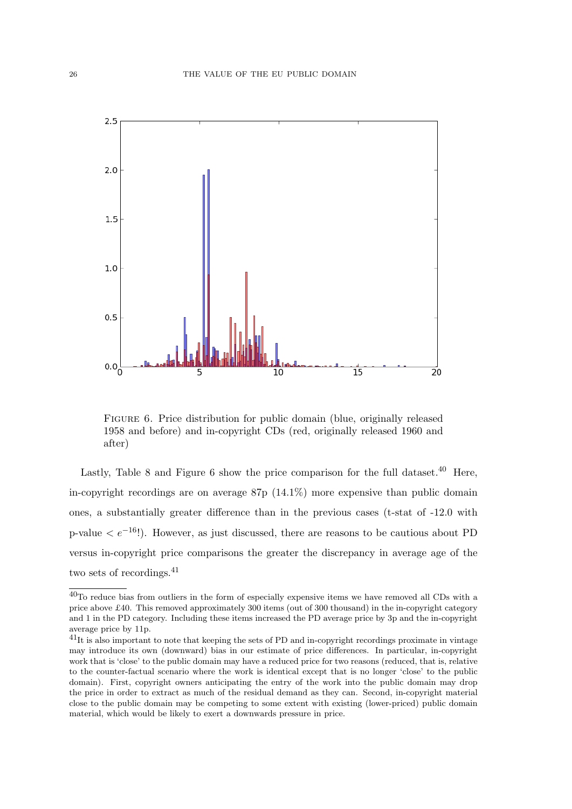

Figure 6. Price distribution for public domain (blue, originally released 1958 and before) and in-copyright CDs (red, originally released 1960 and after)

Lastly, Table 8 and Figure 6 show the price comparison for the full dataset.<sup>40</sup> Here, in-copyright recordings are on average 87p (14.1%) more expensive than public domain ones, a substantially greater difference than in the previous cases (t-stat of -12.0 with p-value  $\leq e^{-16}$ !). However, as just discussed, there are reasons to be cautious about PD versus in-copyright price comparisons the greater the discrepancy in average age of the two sets of recordings.<sup>41</sup>

<sup>40</sup>To reduce bias from outliers in the form of especially expensive items we have removed all CDs with a price above £40. This removed approximately 300 items (out of 300 thousand) in the in-copyright category and 1 in the PD category. Including these items increased the PD average price by 3p and the in-copyright average price by 11p.

 $^{41}$ It is also important to note that keeping the sets of PD and in-copyright recordings proximate in vintage may introduce its own (downward) bias in our estimate of price differences. In particular, in-copyright work that is 'close' to the public domain may have a reduced price for two reasons (reduced, that is, relative to the counter-factual scenario where the work is identical except that is no longer 'close' to the public domain). First, copyright owners anticipating the entry of the work into the public domain may drop the price in order to extract as much of the residual demand as they can. Second, in-copyright material close to the public domain may be competing to some extent with existing (lower-priced) public domain material, which would be likely to exert a downwards pressure in price.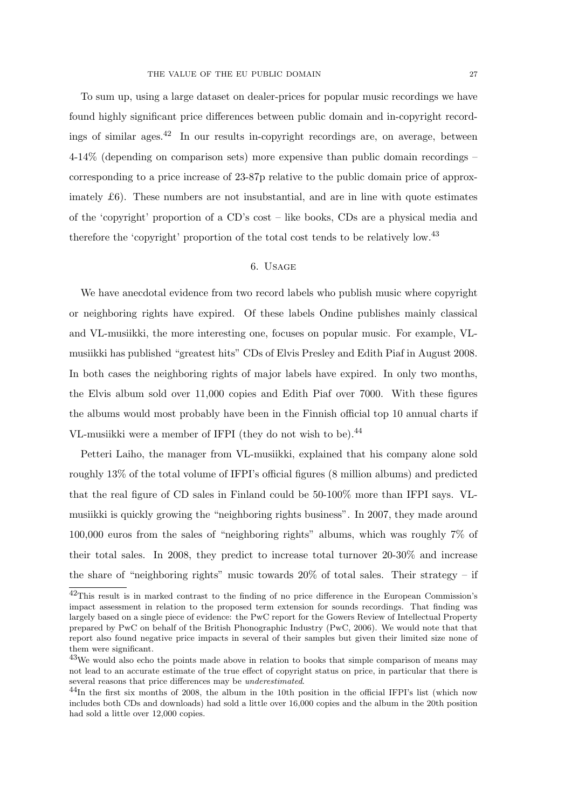To sum up, using a large dataset on dealer-prices for popular music recordings we have found highly significant price differences between public domain and in-copyright recordings of similar ages.<sup>42</sup> In our results in-copyright recordings are, on average, between 4-14% (depending on comparison sets) more expensive than public domain recordings – corresponding to a price increase of 23-87p relative to the public domain price of approximately  $\pounds 6$ ). These numbers are not insubstantial, and are in line with quote estimates of the 'copyright' proportion of a CD's cost – like books, CDs are a physical media and therefore the 'copyright' proportion of the total cost tends to be relatively low.<sup>43</sup>

# 6. Usage

We have anecdotal evidence from two record labels who publish music where copyright or neighboring rights have expired. Of these labels Ondine publishes mainly classical and VL-musiikki, the more interesting one, focuses on popular music. For example, VLmusiikki has published "greatest hits" CDs of Elvis Presley and Edith Piaf in August 2008. In both cases the neighboring rights of major labels have expired. In only two months, the Elvis album sold over 11,000 copies and Edith Piaf over 7000. With these figures the albums would most probably have been in the Finnish official top 10 annual charts if VL-musiikki were a member of IFPI (they do not wish to be).<sup>44</sup>

Petteri Laiho, the manager from VL-musiikki, explained that his company alone sold roughly 13% of the total volume of IFPI's official figures (8 million albums) and predicted that the real figure of CD sales in Finland could be 50-100% more than IFPI says. VLmusiikki is quickly growing the "neighboring rights business". In 2007, they made around 100,000 euros from the sales of "neighboring rights" albums, which was roughly 7% of their total sales. In 2008, they predict to increase total turnover 20-30% and increase the share of "neighboring rights" music towards  $20\%$  of total sales. Their strategy – if

<sup>42</sup>This result is in marked contrast to the finding of no price difference in the European Commission's impact assessment in relation to the proposed term extension for sounds recordings. That finding was largely based on a single piece of evidence: the PwC report for the Gowers Review of Intellectual Property prepared by PwC on behalf of the British Phonographic Industry (PwC, 2006). We would note that that report also found negative price impacts in several of their samples but given their limited size none of them were significant.

<sup>43</sup>We would also echo the points made above in relation to books that simple comparison of means may not lead to an accurate estimate of the true effect of copyright status on price, in particular that there is several reasons that price differences may be underestimated.

<sup>&</sup>lt;sup>44</sup>In the first six months of 2008, the album in the 10th position in the official IFPI's list (which now includes both CDs and downloads) had sold a little over 16,000 copies and the album in the 20th position had sold a little over 12,000 copies.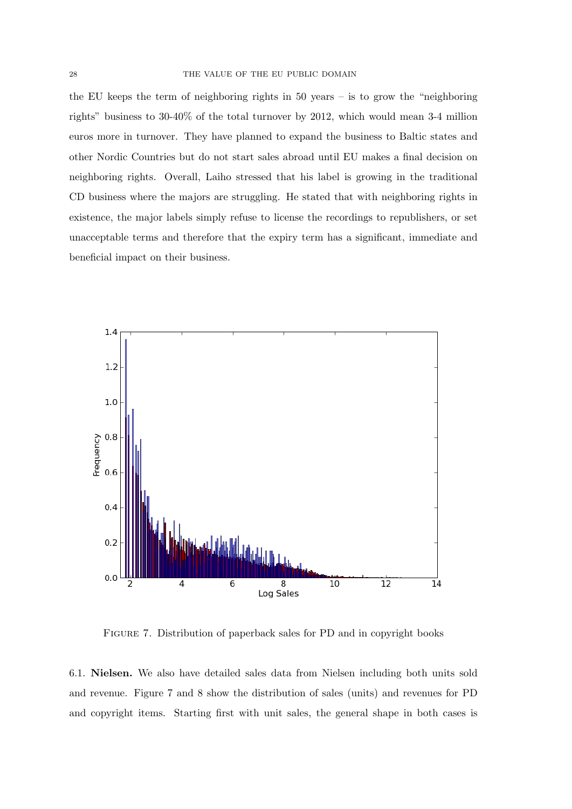the EU keeps the term of neighboring rights in 50 years – is to grow the "neighboring rights" business to 30-40% of the total turnover by 2012, which would mean 3-4 million euros more in turnover. They have planned to expand the business to Baltic states and other Nordic Countries but do not start sales abroad until EU makes a final decision on neighboring rights. Overall, Laiho stressed that his label is growing in the traditional CD business where the majors are struggling. He stated that with neighboring rights in existence, the major labels simply refuse to license the recordings to republishers, or set unacceptable terms and therefore that the expiry term has a significant, immediate and beneficial impact on their business.



Figure 7. Distribution of paperback sales for PD and in copyright books

6.1. Nielsen. We also have detailed sales data from Nielsen including both units sold and revenue. Figure 7 and 8 show the distribution of sales (units) and revenues for PD and copyright items. Starting first with unit sales, the general shape in both cases is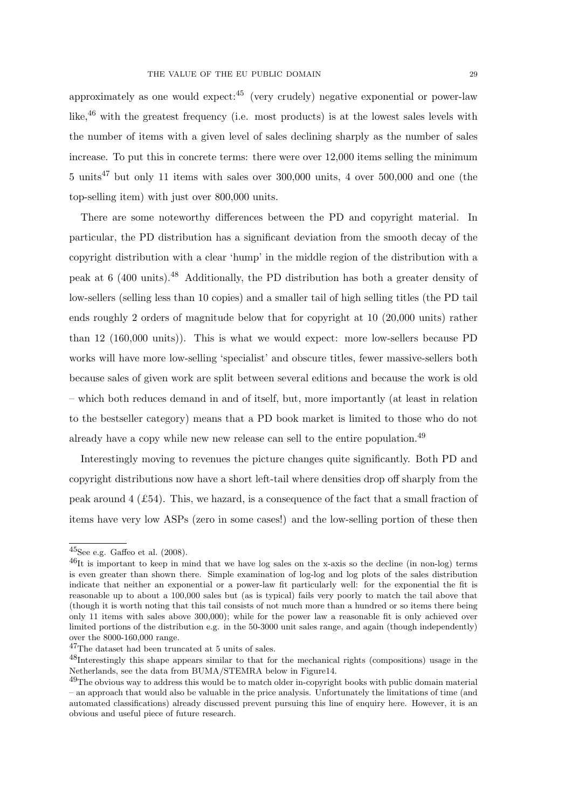approximately as one would expect: $45$  (very crudely) negative exponential or power-law like,<sup>46</sup> with the greatest frequency (i.e. most products) is at the lowest sales levels with the number of items with a given level of sales declining sharply as the number of sales increase. To put this in concrete terms: there were over 12,000 items selling the minimum  $5 \text{ units}^{47}$  but only 11 items with sales over 300,000 units, 4 over 500,000 and one (the top-selling item) with just over 800,000 units.

There are some noteworthy differences between the PD and copyright material. In particular, the PD distribution has a significant deviation from the smooth decay of the copyright distribution with a clear 'hump' in the middle region of the distribution with a peak at 6 (400 units).<sup>48</sup> Additionally, the PD distribution has both a greater density of low-sellers (selling less than 10 copies) and a smaller tail of high selling titles (the PD tail ends roughly 2 orders of magnitude below that for copyright at 10 (20,000 units) rather than 12 (160,000 units)). This is what we would expect: more low-sellers because PD works will have more low-selling 'specialist' and obscure titles, fewer massive-sellers both because sales of given work are split between several editions and because the work is old – which both reduces demand in and of itself, but, more importantly (at least in relation to the bestseller category) means that a PD book market is limited to those who do not already have a copy while new new release can sell to the entire population.<sup>49</sup>

Interestingly moving to revenues the picture changes quite significantly. Both PD and copyright distributions now have a short left-tail where densities drop off sharply from the peak around  $4 \text{ } (\text{\pounds}54)$ . This, we hazard, is a consequence of the fact that a small fraction of items have very low ASPs (zero in some cases!) and the low-selling portion of these then

 $^{45}$ See e.g. Gaffeo et al. (2008).

<sup>46</sup>It is important to keep in mind that we have log sales on the x-axis so the decline (in non-log) terms is even greater than shown there. Simple examination of log-log and log plots of the sales distribution indicate that neither an exponential or a power-law fit particularly well: for the exponential the fit is reasonable up to about a 100,000 sales but (as is typical) fails very poorly to match the tail above that (though it is worth noting that this tail consists of not much more than a hundred or so items there being only 11 items with sales above 300,000); while for the power law a reasonable fit is only achieved over limited portions of the distribution e.g. in the 50-3000 unit sales range, and again (though independently) over the 8000-160,000 range.

<sup>47</sup>The dataset had been truncated at 5 units of sales.

<sup>48</sup>Interestingly this shape appears similar to that for the mechanical rights (compositions) usage in the Netherlands, see the data from BUMA/STEMRA below in Figure14.

<sup>&</sup>lt;sup>49</sup>The obvious way to address this would be to match older in-copyright books with public domain material – an approach that would also be valuable in the price analysis. Unfortunately the limitations of time (and automated classifications) already discussed prevent pursuing this line of enquiry here. However, it is an obvious and useful piece of future research.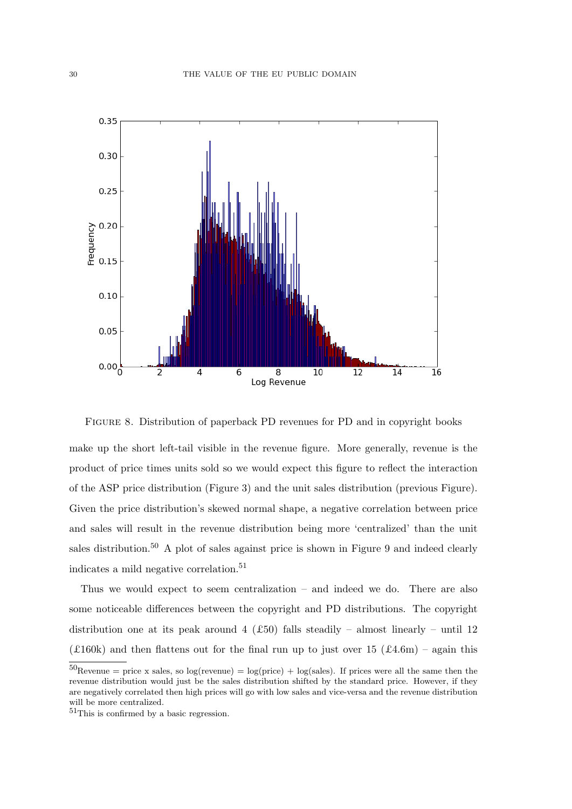

Figure 8. Distribution of paperback PD revenues for PD and in copyright books

make up the short left-tail visible in the revenue figure. More generally, revenue is the product of price times units sold so we would expect this figure to reflect the interaction of the ASP price distribution (Figure 3) and the unit sales distribution (previous Figure). Given the price distribution's skewed normal shape, a negative correlation between price and sales will result in the revenue distribution being more 'centralized' than the unit sales distribution.<sup>50</sup> A plot of sales against price is shown in Figure 9 and indeed clearly indicates a mild negative correlation.<sup>51</sup>

Thus we would expect to seem centralization – and indeed we do. There are also some noticeable differences between the copyright and PD distributions. The copyright distribution one at its peak around 4 (£50) falls steadily – almost linearly – until 12 (£160k) and then flattens out for the final run up to just over 15 (£4.6m) – again this

 $50$ Revenue = price x sales, so log(revenue) = log(price) + log(sales). If prices were all the same then the revenue distribution would just be the sales distribution shifted by the standard price. However, if they are negatively correlated then high prices will go with low sales and vice-versa and the revenue distribution will be more centralized.

 $51$ This is confirmed by a basic regression.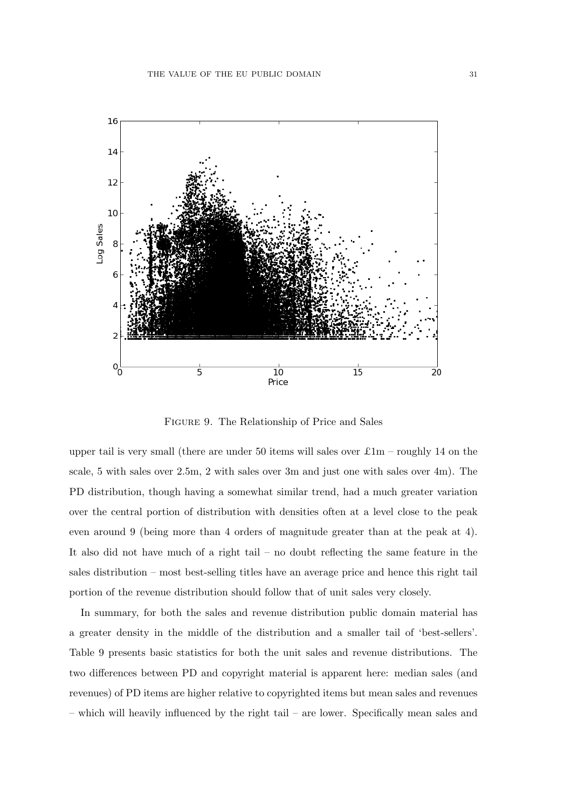

Figure 9. The Relationship of Price and Sales

upper tail is very small (there are under 50 items will sales over  $\pounds 1m$  – roughly 14 on the scale, 5 with sales over 2.5m, 2 with sales over 3m and just one with sales over 4m). The PD distribution, though having a somewhat similar trend, had a much greater variation over the central portion of distribution with densities often at a level close to the peak even around 9 (being more than 4 orders of magnitude greater than at the peak at 4). It also did not have much of a right tail – no doubt reflecting the same feature in the sales distribution – most best-selling titles have an average price and hence this right tail portion of the revenue distribution should follow that of unit sales very closely.

In summary, for both the sales and revenue distribution public domain material has a greater density in the middle of the distribution and a smaller tail of 'best-sellers'. Table 9 presents basic statistics for both the unit sales and revenue distributions. The two differences between PD and copyright material is apparent here: median sales (and revenues) of PD items are higher relative to copyrighted items but mean sales and revenues – which will heavily influenced by the right tail – are lower. Specifically mean sales and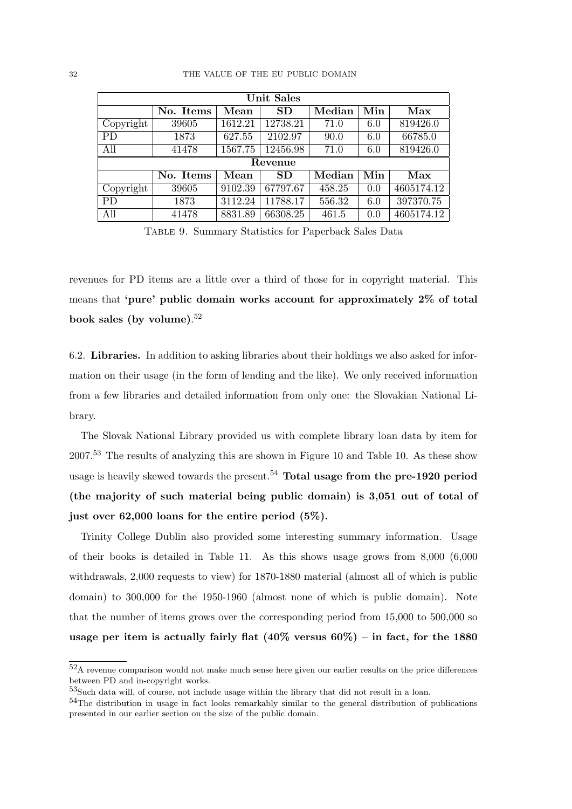| <b>Unit Sales</b> |           |         |           |        |             |            |  |  |
|-------------------|-----------|---------|-----------|--------|-------------|------------|--|--|
|                   | No. Items | Mean    | <b>SD</b> | Median | ${\bf Min}$ | Max        |  |  |
| Copyright         | 39605     | 1612.21 | 12738.21  | 71.0   | 6.0         | 819426.0   |  |  |
| <b>PD</b>         | 1873      | 627.55  | 2102.97   | 90.0   | 6.0         | 66785.0    |  |  |
| All               | 41478     | 1567.75 | 12456.98  | 71.0   | 6.0         | 819426.0   |  |  |
|                   |           |         | Revenue   |        |             |            |  |  |
|                   | No. Items | Mean    | <b>SD</b> | Median | Min         | Max        |  |  |
| Copyright         | 39605     | 9102.39 | 67797.67  | 458.25 | 0.0         | 4605174.12 |  |  |
| <b>PD</b>         | 1873      | 3112.24 | 11788.17  | 556.32 | 6.0         | 397370.75  |  |  |
| All               | 41478     | 8831.89 | 66308.25  | 461.5  | 0.0         | 4605174.12 |  |  |

Table 9. Summary Statistics for Paperback Sales Data

revenues for PD items are a little over a third of those for in copyright material. This means that 'pure' public domain works account for approximately 2% of total book sales (by volume). 52

6.2. Libraries. In addition to asking libraries about their holdings we also asked for information on their usage (in the form of lending and the like). We only received information from a few libraries and detailed information from only one: the Slovakian National Library.

The Slovak National Library provided us with complete library loan data by item for 2007.<sup>53</sup> The results of analyzing this are shown in Figure 10 and Table 10. As these show usage is heavily skewed towards the present.<sup>54</sup> Total usage from the pre-1920 period (the majority of such material being public domain) is 3,051 out of total of just over 62,000 loans for the entire period (5%).

Trinity College Dublin also provided some interesting summary information. Usage of their books is detailed in Table 11. As this shows usage grows from 8,000 (6,000 withdrawals, 2,000 requests to view) for 1870-1880 material (almost all of which is public domain) to 300,000 for the 1950-1960 (almost none of which is public domain). Note that the number of items grows over the corresponding period from 15,000 to 500,000 so usage per item is actually fairly flat  $(40\%$  versus  $60\%)$  – in fact, for the 1880

<sup>52</sup>A revenue comparison would not make much sense here given our earlier results on the price differences between PD and in-copyright works.

<sup>53</sup>Such data will, of course, not include usage within the library that did not result in a loan.

<sup>&</sup>lt;sup>54</sup>The distribution in usage in fact looks remarkably similar to the general distribution of publications presented in our earlier section on the size of the public domain.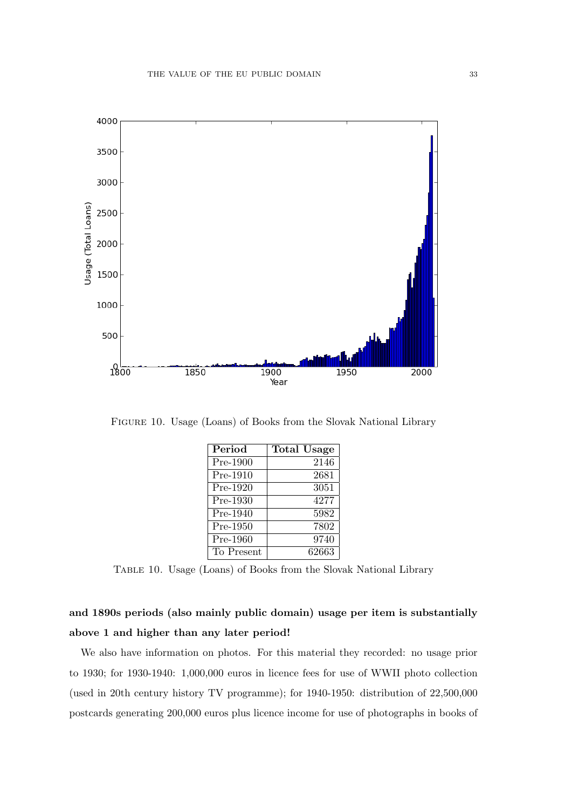

Figure 10. Usage (Loans) of Books from the Slovak National Library

| Period     | <b>Total Usage</b> |
|------------|--------------------|
| Pre-1900   | 2146               |
| Pre-1910   | 2681               |
| Pre-1920   | 3051               |
| Pre-1930   | 4277               |
| Pre-1940   | 5982               |
| Pre-1950   | 7802               |
| Pre-1960   | 9740               |
| To Present | 62663              |

Table 10. Usage (Loans) of Books from the Slovak National Library

# and 1890s periods (also mainly public domain) usage per item is substantially above 1 and higher than any later period!

We also have information on photos. For this material they recorded: no usage prior to 1930; for 1930-1940: 1,000,000 euros in licence fees for use of WWII photo collection (used in 20th century history TV programme); for 1940-1950: distribution of 22,500,000 postcards generating 200,000 euros plus licence income for use of photographs in books of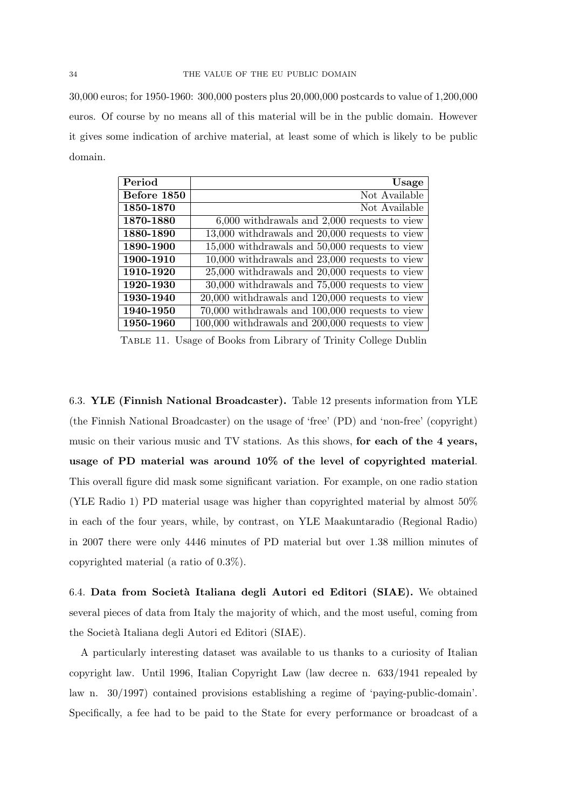30,000 euros; for 1950-1960: 300,000 posters plus 20,000,000 postcards to value of 1,200,000 euros. Of course by no means all of this material will be in the public domain. However it gives some indication of archive material, at least some of which is likely to be public domain.

| Period      | Usage                                               |
|-------------|-----------------------------------------------------|
| Before 1850 | Not Available                                       |
| 1850-1870   | Not Available                                       |
| 1870-1880   | $6,000$ withdrawals and $2,000$ requests to view    |
| 1880-1890   | $13,000$ withdrawals and $20,000$ requests to view  |
| 1890-1900   | $15,000$ withdrawals and $50,000$ requests to view  |
| 1900-1910   | $10,000$ withdrawals and $23,000$ requests to view  |
| 1910-1920   | $25,000$ withdrawals and $20,000$ requests to view  |
| 1920-1930   | $30,000$ withdrawals and $75,000$ requests to view  |
| 1930-1940   | $20,000$ withdrawals and $120,000$ requests to view |
| 1940-1950   | 70,000 withdrawals and 100,000 requests to view     |
| 1950-1960   | 100,000 withdrawals and 200,000 requests to view    |

Table 11. Usage of Books from Library of Trinity College Dublin

6.3. YLE (Finnish National Broadcaster). Table 12 presents information from YLE (the Finnish National Broadcaster) on the usage of 'free' (PD) and 'non-free' (copyright) music on their various music and TV stations. As this shows, for each of the 4 years, usage of PD material was around 10% of the level of copyrighted material. This overall figure did mask some significant variation. For example, on one radio station (YLE Radio 1) PD material usage was higher than copyrighted material by almost 50% in each of the four years, while, by contrast, on YLE Maakuntaradio (Regional Radio) in 2007 there were only 4446 minutes of PD material but over 1.38 million minutes of copyrighted material (a ratio of 0.3%).

6.4. Data from Società Italiana degli Autori ed Editori (SIAE). We obtained several pieces of data from Italy the majority of which, and the most useful, coming from the Societ`a Italiana degli Autori ed Editori (SIAE).

A particularly interesting dataset was available to us thanks to a curiosity of Italian copyright law. Until 1996, Italian Copyright Law (law decree n. 633/1941 repealed by law n. 30/1997) contained provisions establishing a regime of 'paying-public-domain'. Specifically, a fee had to be paid to the State for every performance or broadcast of a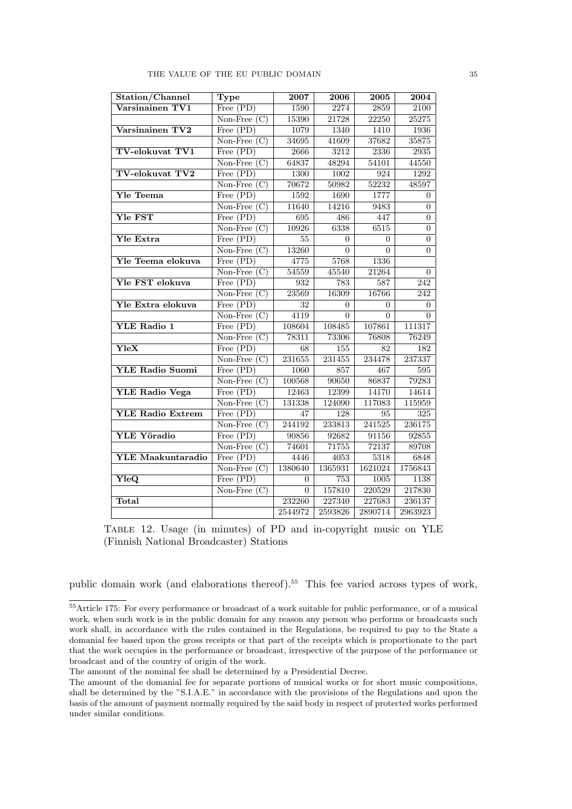| Station/Channel          | <b>Type</b>                      | 2007             | 2006             | 2005     | 2004             |
|--------------------------|----------------------------------|------------------|------------------|----------|------------------|
| Varsinainen TV1          | $\overline{\text{Free (PD)}}$    | 1590             | 2274             | 2859     | 2100             |
|                          | Non-Free $(C)$                   | 15390            | 21728            | 22250    | 25275            |
| Varsinainen TV2          | Free (PD)                        | 1079             | 1340             | 1410     | 1936             |
|                          | $\overline{\text{Non-Free (C)}}$ | 34695            | 41609            | 37682    | 35875            |
| <b>TV-elokuvat TV1</b>   | Free (PD)                        | 2666             | 3212             | 2336     | 2935             |
|                          | Non-Free $(C)$                   | 64837            | 48294            | 54101    | 44550            |
| TV-elokuvat TV2          | Free (PD)                        | 1300             | 1002             | 924      | 1292             |
|                          | Non-Free $(C)$                   | 70672            | 50982            | 52232    | 48597            |
| <b>Yle Teema</b>         | Free (PD)                        | 1592             | 1690             | 1777     | 0                |
|                          | $\overline{\text{Non-Free (C)}}$ | 11640            | 14216            | 9483     | $\overline{0}$   |
| <b>Yle FST</b>           | Free $(PD)$                      | 695              | 486              | 447      | $\overline{0}$   |
|                          | Non-Free $(C)$                   | 10926            | 6338             | 6515     | $\boldsymbol{0}$ |
| Yle Extra                | Free $(PD)$                      | 55               | $\theta$         | $\theta$ | $\overline{0}$   |
|                          | Non-Free $(C)$                   | 13260            | $\Omega$         | $\Omega$ | $\Omega$         |
| Yle Teema elokuva        | Free $(PD)$                      | 4775             | 5768             | 1336     |                  |
|                          | $\overline{\text{Non-Free (C)}}$ | 54559            | 45540            | 21264    | $\overline{0}$   |
| Yle FST elokuva          | Free (PD)                        | 932              | 783              | 587      | 242              |
|                          | Non-Free $(C)$                   | 23569            | 16309            | 16766    | 242              |
| Yle Extra elokuva        | Free (PD)                        | 32               | 0                | $\Omega$ | $\overline{0}$   |
|                          | $\overline{\text{Non-Free (C)}}$ | $\frac{1}{4119}$ | $\Omega$         | $\theta$ | $\Omega$         |
| YLE Radio 1              | Free $(PD)$                      | 108604           | 108485           | 107861   | 111317           |
|                          | Non-Free $(C)$                   | 78311            | 73306            | 76808    | 76249            |
| YleX                     | Free (PD)                        | 68               | $\overline{155}$ | 82       | 182              |
|                          | $\overline{\text{Non-Free (C)}}$ | 231655           | 231455           | 234478   | 237337           |
| <b>YLE Radio Suomi</b>   | Free (PD)                        | 1060             | 857              | 467      | 595              |
|                          | $\overline{\text{Non-Free (C)}}$ | 100568           | 90650            | 86837    | 79283            |
| <b>YLE Radio Vega</b>    | Free (PD)                        | 12463            | 12399            | 14170    | 14614            |
|                          | $\overline{\text{Non-Free}}(C)$  | 131338           | 124090           | 117083   | 115959           |
| <b>YLE Radio Extrem</b>  | Free (PD)                        | 47               | 128              | 95       | 325              |
|                          | Non-Free $(C)$                   | 244192           | 233813           | 241525   | 236175           |
| <b>YLE Yöradio</b>       | Free $(PD)$                      | 90856            | 92682            | 91156    | 92855            |
|                          | Non-Free $(C)$                   | 74601            | 71755            | 72137    | 89708            |
| <b>YLE Maakuntaradio</b> | Free (PD)                        | 4446             | 4053             | 5318     | 6848             |
|                          | Non-Free $(C)$                   | 1380640          | 1365931          | 1621024  | 1756843          |
| $\overline{\text{YleQ}}$ | $\overline{\text{Free (PD)}}$    | $\Omega$         | 753              | 1005     | 1138             |
|                          | Non-Free $(C)$                   | $\overline{0}$   | 157810           | 220529   | 217830           |
| Total                    |                                  | 232260           | 227340           | 227683   | 236137           |
|                          |                                  | 2544972          | 2593826          | 2890714  | 2963923          |

|  |  |                                         |  | TABLE 12. Usage (in minutes) of PD and in-copyright music on YLE |  |  |
|--|--|-----------------------------------------|--|------------------------------------------------------------------|--|--|
|  |  | (Finnish National Broadcaster) Stations |  |                                                                  |  |  |

public domain work (and elaborations thereof).<sup>55</sup> This fee varied across types of work,

<sup>55</sup>Article 175: For every performance or broadcast of a work suitable for public performance, or of a musical work, when such work is in the public domain for any reason any person who performs or broadcasts such work shall, in accordance with the rules contained in the Regulations, be required to pay to the State a domanial fee based upon the gross receipts or that part of the receipts which is proportionate to the part that the work occupies in the performance or broadcast, irrespective of the purpose of the performance or broadcast and of the country of origin of the work.

The amount of the nominal fee shall be determined by a Presidential Decree.

The amount of the domanial fee for separate portions of musical works or for short music compositions, shall be determined by the "S.I.A.E." in accordance with the provisions of the Regulations and upon the basis of the amount of payment normally required by the said body in respect of protected works performed under similar conditions.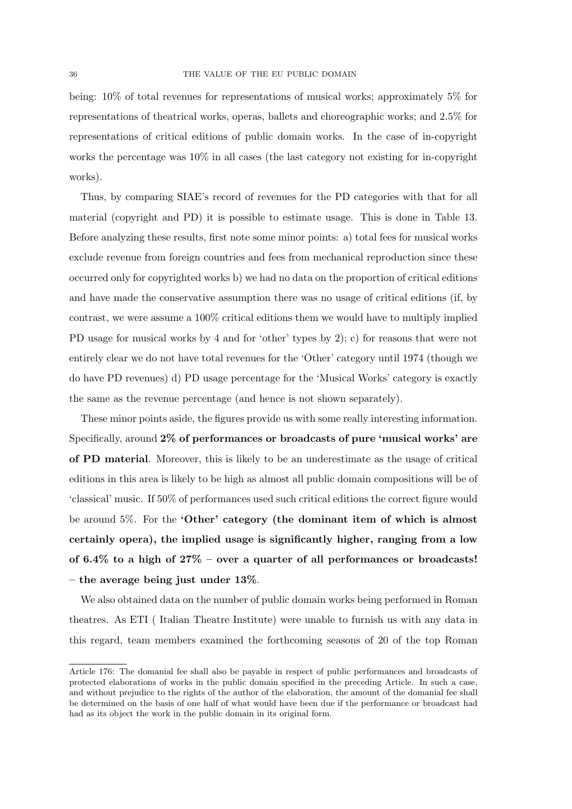being: 10% of total revenues for representations of musical works; approximately 5% for representations of theatrical works, operas, ballets and choreographic works; and 2.5% for representations of critical editions of public domain works. In the case of in-copyright works the percentage was 10% in all cases (the last category not existing for in-copyright works).

Thus, by comparing SIAE's record of revenues for the PD categories with that for all material (copyright and PD) it is possible to estimate usage. This is done in Table 13. Before analyzing these results, first note some minor points: a) total fees for musical works exclude revenue from foreign countries and fees from mechanical reproduction since these occurred only for copyrighted works b) we had no data on the proportion of critical editions and have made the conservative assumption there was no usage of critical editions (if, by contrast, we were assume a 100% critical editions them we would have to multiply implied PD usage for musical works by 4 and for 'other' types by 2); c) for reasons that were not entirely clear we do not have total revenues for the 'Other' category until 1974 (though we do have PD revenues) d) PD usage percentage for the 'Musical Works' category is exactly the same as the revenue percentage (and hence is not shown separately).

These minor points aside, the figures provide us with some really interesting information. Specifically, around 2% of performances or broadcasts of pure 'musical works' are of PD material. Moreover, this is likely to be an underestimate as the usage of critical editions in this area is likely to be high as almost all public domain compositions will be of 'classical' music. If 50% of performances used such critical editions the correct figure would be around 5%. For the 'Other' category (the dominant item of which is almost certainly opera), the implied usage is significantly higher, ranging from a low of 6.4% to a high of  $27\%$  – over a quarter of all performances or broadcasts! – the average being just under  $13\%$ .

We also obtained data on the number of public domain works being performed in Roman theatres. As ETI ( Italian Theatre Institute) were unable to furnish us with any data in this regard, team members examined the forthcoming seasons of 20 of the top Roman

Article 176: The domanial fee shall also be payable in respect of public performances and broadcasts of protected elaborations of works in the public domain specified in the preceding Article. In such a case, and without prejudice to the rights of the author of the elaboration, the amount of the domanial fee shall be determined on the basis of one half of what would have been due if the performance or broadcast had had as its object the work in the public domain in its original form.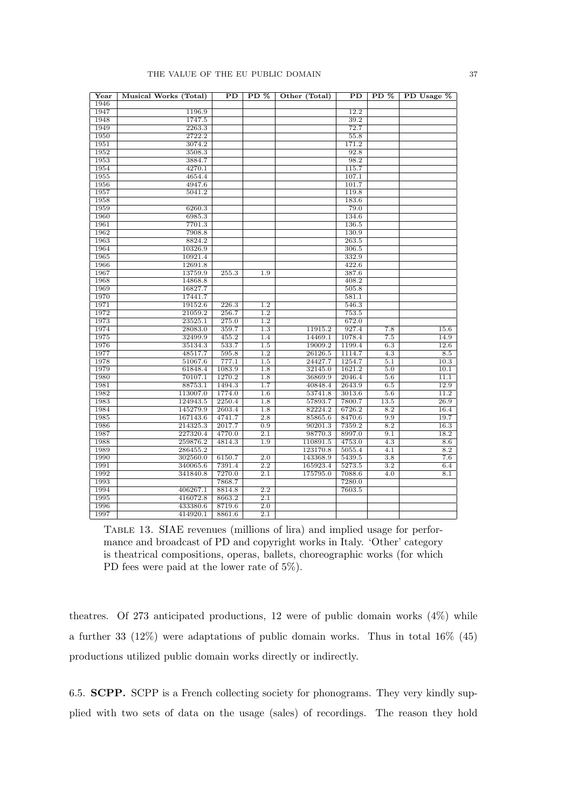#### THE VALUE OF THE EU PUBLIC DOMAIN 37

| Year | Musical Works (Total) | $\overline{PD}$ | $PD$ %           | Other (Total) | $\overline{PD}$ | $PD$ %           | PD Usage % |
|------|-----------------------|-----------------|------------------|---------------|-----------------|------------------|------------|
| 1946 |                       |                 |                  |               |                 |                  |            |
| 1947 | 1196.9                |                 |                  |               | 12.2            |                  |            |
| 1948 | 1747.5                |                 |                  |               | 39.2            |                  |            |
| 1949 | 2263.3                |                 |                  |               | 72.7            |                  |            |
| 1950 | 2722.2                |                 |                  |               | 55.8            |                  |            |
| 1951 | 3074.2                |                 |                  |               | 171.2           |                  |            |
| 1952 | 3508.3                |                 |                  |               | 92.8            |                  |            |
| 1953 | 3884.7                |                 |                  |               | 98.2            |                  |            |
| 1954 | 4270.1                |                 |                  |               | 115.7           |                  |            |
| 1955 | 4654.4                |                 |                  |               | 107.1           |                  |            |
| 1956 | 4947.6                |                 |                  |               | 101.7           |                  |            |
| 1957 | 5041.2                |                 |                  |               | 119.8           |                  |            |
| 1958 |                       |                 |                  |               | 183.6           |                  |            |
| 1959 | 6260.3                |                 |                  |               | 79.0            |                  |            |
| 1960 | 6985.3                |                 |                  |               | 134.6           |                  |            |
| 1961 | 7701.3                |                 |                  |               | 136.5           |                  |            |
| 1962 | 7908.8                |                 |                  |               | 130.9           |                  |            |
| 1963 | 8824.2                |                 |                  |               | 263.5           |                  |            |
| 1964 | 10326.9               |                 |                  |               | 306.5           |                  |            |
| 1965 | 10921.4               |                 |                  |               | 332.9           |                  |            |
| 1966 | 12691.8               |                 |                  |               | 422.6           |                  |            |
| 1967 | 13759.9               | 255.3           | 1.9              |               | 387.6           |                  |            |
| 1968 | 14868.8               |                 |                  |               | 408.2           |                  |            |
| 1969 | 16827.7               |                 |                  |               | 505.8           |                  |            |
| 1970 | 17441.7               |                 |                  |               | 581.1           |                  |            |
| 1971 | 19152.6               | 226.3           | 1.2              |               | 546.3           |                  |            |
| 1972 | 21059.2               | 256.7           | $\overline{1.2}$ |               | 753.5           |                  |            |
| 1973 | 23525.1               | 275.0           | 1.2              |               | 672.0           |                  |            |
| 1974 | 28083.0               | 359.7           | 1.3              | 11915.2       | 927.4           | 7.8              | 15.6       |
| 1975 | 32499.9               | 455.2           | 1.4              | 14469.1       | 1078.4          | 7.5              | 14.9       |
| 1976 | 35134.3               | 533.7           | 1.5              | 19009.2       | 1199.4          | 6.3              | 12.6       |
| 1977 | 48517.7               | 595.8           | 1.2              | 26126.5       | 1114.7          | 4.3              | 8.5        |
| 1978 | 51067.6               | 777.1           | 1.5              | 24427.7       | 1254.7          | 5.1              | 10.3       |
| 1979 | 61848.4               | 1083.9          | $\overline{1.8}$ | 32145.0       | 1621.2          | $\overline{5.0}$ | 10.1       |
| 1980 | 70107.1               | 1270.2          | 1.8              | 36869.9       | 2046.4          | 5.6              | 11.1       |
| 1981 | 88753.1               | 1494.3          | 1.7              | 40848.4       | 2643.9          | 6.5              | 12.9       |
| 1982 | 113007.0              | 1774.0          | 1.6              | 53741.8       | 3013.6          | 5.6              | 11.2       |
| 1983 | 124943.5              | 2250.4          | 1.8              | 57893.7       | 7800.7          | 13.5             | 26.9       |
| 1984 | 145279.9              | 2603.4          | $\overline{1.8}$ | 82224.2       | 6726.2          | $\overline{8.2}$ | 16.4       |
| 1985 | 167143.6              | 4741.7          | $\overline{2.8}$ | 85865.6       | 8470.6          | 9.9              | 19.7       |
| 1986 | 214325.3              | 2017.7          | 0.9              | 90201.3       | 7359.2          | 8.2              | 16.3       |
| 1987 | 227320.4              | 4770.0          | $\overline{2.1}$ | 98770.3       | 8997.0          | 9.1              | 18.2       |
| 1988 | 259876.2              | 4814.3          | 1.9              | 110891.5      | 4753.0          | 4.3              | 8.6        |
| 1989 | 286455.2              |                 |                  | 123170.8      | 5055.4          | 4.1              | 8.2        |
| 1990 | 302560.0              | 6150.7          | 2.0              | 143368.9      | 5439.5          | 3.8              | 7.6        |
| 1991 | 340065.6              | 7391.4          | 2.2              | 165923.4      | 5273.5          | $\overline{3.2}$ | 6.4        |
| 1992 | 341840.8              | 7270.0          | $\overline{2.1}$ | 175795.0      | 7088.6          | 4.0              | 8.1        |
| 1993 |                       | 7868.7          |                  |               | 7280.0          |                  |            |
| 1994 | 406267.1              | 8814.8          | $\overline{2.2}$ |               | 7603.5          |                  |            |
| 1995 | 416072.8              | 8663.2          | 2.1              |               |                 |                  |            |
| 1996 | 433380.6              | 8719.6          | 2.0              |               |                 |                  |            |
| 1997 | 414920.1              | 8861.6          | $\overline{2.1}$ |               |                 |                  |            |

Table 13. SIAE revenues (millions of lira) and implied usage for performance and broadcast of PD and copyright works in Italy. 'Other' category is theatrical compositions, operas, ballets, choreographic works (for which PD fees were paid at the lower rate of 5%).

theatres. Of 273 anticipated productions, 12 were of public domain works  $(4\%)$  while a further 33 (12%) were adaptations of public domain works. Thus in total 16% (45) productions utilized public domain works directly or indirectly.

6.5. SCPP. SCPP is a French collecting society for phonograms. They very kindly supplied with two sets of data on the usage (sales) of recordings. The reason they hold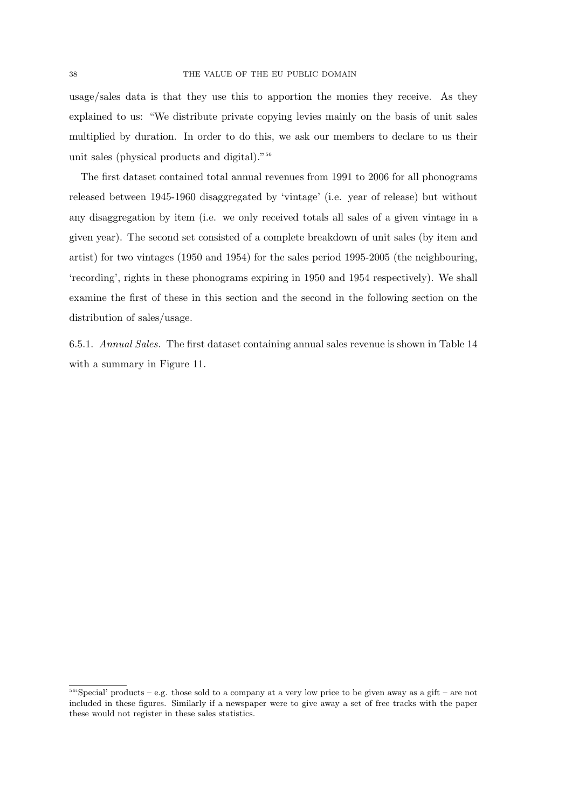usage/sales data is that they use this to apportion the monies they receive. As they explained to us: "We distribute private copying levies mainly on the basis of unit sales multiplied by duration. In order to do this, we ask our members to declare to us their unit sales (physical products and digital)."<sup>56</sup>

The first dataset contained total annual revenues from 1991 to 2006 for all phonograms released between 1945-1960 disaggregated by 'vintage' (i.e. year of release) but without any disaggregation by item (i.e. we only received totals all sales of a given vintage in a given year). The second set consisted of a complete breakdown of unit sales (by item and artist) for two vintages (1950 and 1954) for the sales period 1995-2005 (the neighbouring, 'recording', rights in these phonograms expiring in 1950 and 1954 respectively). We shall examine the first of these in this section and the second in the following section on the distribution of sales/usage.

6.5.1. Annual Sales. The first dataset containing annual sales revenue is shown in Table 14 with a summary in Figure 11.

<sup>56</sup>'Special' products – e.g. those sold to a company at a very low price to be given away as a gift – are not included in these figures. Similarly if a newspaper were to give away a set of free tracks with the paper these would not register in these sales statistics.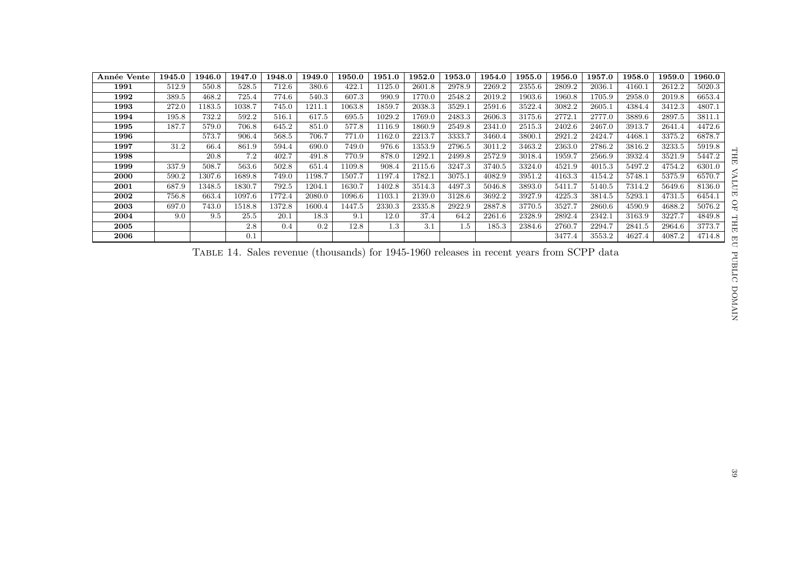| Année Vente | 1945.0 | 1946.0 | 1947.0 | 1948.0 | 1949.0 | 1950.0 | $1951.0\,$ | 1952.0 | 1953.0  | 1954.0 | 1955.0 | 1956.0 | 1957.0 | 1958.0 | 1959.0 | 1960.0 |
|-------------|--------|--------|--------|--------|--------|--------|------------|--------|---------|--------|--------|--------|--------|--------|--------|--------|
| 1991        | 512.9  | 550.8  | 528.5  | 712.6  | 380.6  | 422.1  | 1125.0     | 2601.8 | 2978.9  | 2269.2 | 2355.6 | 2809.2 | 2036.1 | 4160.1 | 2612.2 | 5020.3 |
| 1992        | 389.5  | 468.2  | 725.4  | 774.6  | 540.3  | 607.3  | 990.9      | 1770.0 | 2548.2  | 2019.2 | 1903.6 | 1960.8 | 1705.9 | 2958.0 | 2019.8 | 6653.4 |
| 1993        | 272.0  | 1183.5 | 1038.7 | 745.0  | 1211.1 | 1063.8 | 1859.7     | 2038.3 | 3529.1  | 2591.6 | 3522.4 | 3082.2 | 2605.1 | 4384.4 | 3412.3 | 4807.1 |
| 1994        | 195.8  | 732.2  | 592.2  | 516.1  | 617.5  | 695.5  | 1029.2     | 1769.0 | 2483.3  | 2606.3 | 3175.6 | 2772.1 | 2777.0 | 3889.6 | 2897.5 | 3811.1 |
| 1995        | 187.7  | 579.0  | 706.8  | 645.2  | 851.0  | 577.8  | 1116.9     | 1860.9 | 2549.8  | 2341.0 | 2515.3 | 2402.6 | 2467.0 | 3913.7 | 2641.4 | 4472.6 |
| 1996        |        | 573.7  | 906.4  | 568.5  | 706.7  | 771.0  | 1162.0     | 2213.7 | 3333.7  | 3460.4 | 3800.1 | 2921.2 | 2424.7 | 4468.  | 3375.2 | 6878.7 |
| 1997        | 31.2   | 66.4   | 861.9  | 594.4  | 690.0  | 749.0  | 976.6      | 1353.9 | 2796.5  | 3011.2 | 3463.2 | 2363.0 | 2786.2 | 3816.2 | 3233.5 | 5919.8 |
| 1998        |        | 20.8   | 7.2    | 402.7  | 491.8  | 770.9  | 878.0      | 1292.1 | 2499.8  | 2572.9 | 3018.4 | 1959.7 | 2566.9 | 3932.4 | 3521.9 | 5447.2 |
| 1999        | 337.9  | 508.7  | 563.6  | 502.8  | 651.4  | 1109.8 | 908.4      | 2115.6 | 3247.3  | 3740.5 | 3324.0 | 4521.9 | 4015.3 | 5497.2 | 4754.2 | 6301.0 |
| 2000        | 590.2  | 1307.6 | 1689.8 | 749.0  | 1198.7 | 1507.7 | 1197.4     | 1782.1 | 3075.1  | 4082.9 | 3951.2 | 4163.3 | 4154.2 | 5748.1 | 5375.9 | 6570.7 |
| 2001        | 687.9  | 1348.5 | 1830.7 | 792.5  | 1204.1 | 1630.7 | 1402.8     | 3514.3 | 4497.3  | 5046.8 | 3893.0 | 5411.7 | 5140.5 | 7314.2 | 5649.6 | 8136.0 |
| 2002        | 756.8  | 663.4  | 1097.6 | 1772.4 | 2080.0 | 1096.6 | 1103.1     | 2139.0 | 3128.6  | 3692.2 | 3927.9 | 4225.3 | 3814.5 | 5293.1 | 4731.5 | 6454.1 |
| 2003        | 697.0  | 743.0  | 1518.8 | 1372.8 | 1600.4 | 1447.5 | 2330.3     | 2335.8 | 2922.9  | 2887.8 | 3770.5 | 3527.7 | 2860.6 | 4590.9 | 4688.2 | 5076.2 |
| 2004        | 9.0    | 9.5    | 25.5   | 20.1   | 18.3   | 9.1    | 12.0       | 37.4   | 64.2    | 2261.6 | 2328.9 | 2892.4 | 2342.1 | 3163.9 | 3227.7 | 4849.8 |
| 2005        |        |        | 2.8    | 0.4    | 0.2    | 12.8   | 1.3        | 3.1    | $1.5\,$ | 185.3  | 2384.6 | 2760.7 | 2294.7 | 2841.5 | 2964.6 | 3773.7 |
| 2006        |        |        | 0.1    |        |        |        |            |        |         |        |        | 3477.4 | 3553.2 | 4627.4 | 4087.2 | 4714.8 |

Table 14. Sales revenue (thousands) for 1945-1960 releases in recent years from SCPP data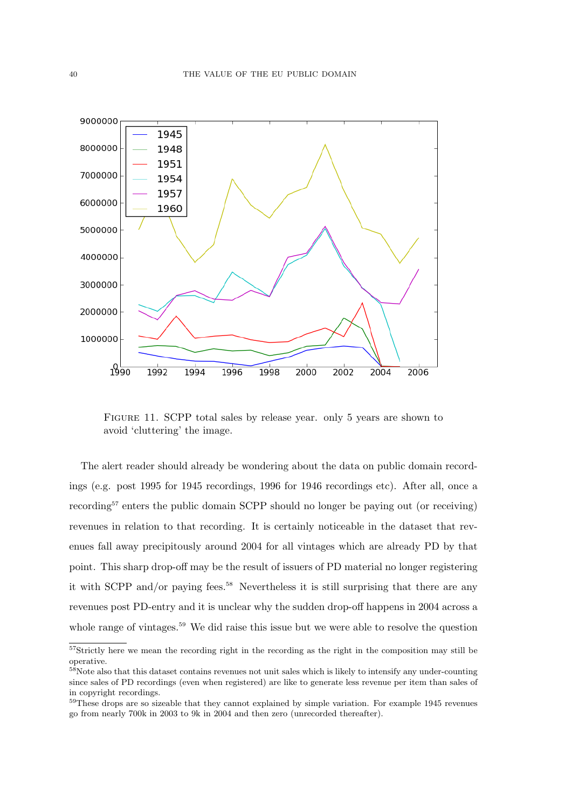

Figure 11. SCPP total sales by release year. only 5 years are shown to avoid 'cluttering' the image.

The alert reader should already be wondering about the data on public domain recordings (e.g. post 1995 for 1945 recordings, 1996 for 1946 recordings etc). After all, once a recording<sup>57</sup> enters the public domain SCPP should no longer be paying out (or receiving) revenues in relation to that recording. It is certainly noticeable in the dataset that revenues fall away precipitously around 2004 for all vintages which are already PD by that point. This sharp drop-off may be the result of issuers of PD material no longer registering it with SCPP and/or paying fees.<sup>58</sup> Nevertheless it is still surprising that there are any revenues post PD-entry and it is unclear why the sudden drop-off happens in 2004 across a whole range of vintages.<sup>59</sup> We did raise this issue but we were able to resolve the question

<sup>&</sup>lt;sup>57</sup>Strictly here we mean the recording right in the recording as the right in the composition may still be operative.

<sup>&</sup>lt;sup>58</sup>Note also that this dataset contains revenues not unit sales which is likely to intensify any under-counting since sales of PD recordings (even when registered) are like to generate less revenue per item than sales of in copyright recordings.

<sup>&</sup>lt;sup>59</sup>These drops are so sizeable that they cannot explained by simple variation. For example 1945 revenues go from nearly 700k in 2003 to 9k in 2004 and then zero (unrecorded thereafter).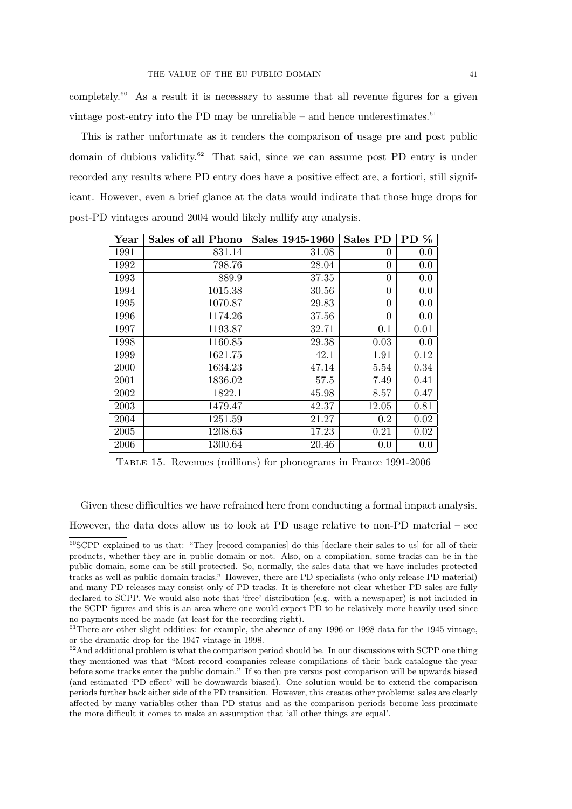completely.<sup>60</sup> As a result it is necessary to assume that all revenue figures for a given vintage post-entry into the PD may be unreliable – and hence underestimates. $61$ 

This is rather unfortunate as it renders the comparison of usage pre and post public domain of dubious validity.<sup>62</sup> That said, since we can assume post PD entry is under recorded any results where PD entry does have a positive effect are, a fortiori, still significant. However, even a brief glance at the data would indicate that those huge drops for post-PD vintages around 2004 would likely nullify any analysis.

| Year | Sales of all Phono | Sales 1945-1960 | Sales PD       | %<br><b>PD</b> |
|------|--------------------|-----------------|----------------|----------------|
| 1991 | 831.14             | 31.08           | $\theta$       | 0.0            |
| 1992 | 798.76             | 28.04           | 0              | 0.0            |
| 1993 | 889.9              | 37.35           | $\theta$       | 0.0            |
| 1994 | 1015.38            | 30.56           | $\theta$       | 0.0            |
| 1995 | 1070.87            | 29.83           | $\overline{0}$ | 0.0            |
| 1996 | 1174.26            | 37.56           | $\theta$       | 0.0            |
| 1997 | 1193.87            | 32.71           | 0.1            | 0.01           |
| 1998 | 1160.85            | 29.38           | 0.03           | 0.0            |
| 1999 | 1621.75            | 42.1            | 1.91           | 0.12           |
| 2000 | 1634.23            | 47.14           | 5.54           | 0.34           |
| 2001 | 1836.02            | 57.5            | 7.49           | 0.41           |
| 2002 | 1822.1             | 45.98           | 8.57           | 0.47           |
| 2003 | 1479.47            | 42.37           | 12.05          | 0.81           |
| 2004 | 1251.59            | 21.27           | 0.2            | 0.02           |
| 2005 | 1208.63            | 17.23           | 0.21           | 0.02           |
| 2006 | 1300.64            | 20.46           | 0.0            | $0.0\,$        |

Table 15. Revenues (millions) for phonograms in France 1991-2006

Given these difficulties we have refrained here from conducting a formal impact analysis.

However, the data does allow us to look at PD usage relative to non-PD material – see

<sup>60</sup>SCPP explained to us that: "They [record companies] do this [declare their sales to us] for all of their products, whether they are in public domain or not. Also, on a compilation, some tracks can be in the public domain, some can be still protected. So, normally, the sales data that we have includes protected tracks as well as public domain tracks." However, there are PD specialists (who only release PD material) and many PD releases may consist only of PD tracks. It is therefore not clear whether PD sales are fully declared to SCPP. We would also note that 'free' distribution (e.g. with a newspaper) is not included in the SCPP figures and this is an area where one would expect PD to be relatively more heavily used since no payments need be made (at least for the recording right).

 $61$ There are other slight oddities: for example, the absence of any 1996 or 1998 data for the 1945 vintage, or the dramatic drop for the 1947 vintage in 1998.

 $62$ And additional problem is what the comparison period should be. In our discussions with SCPP one thing they mentioned was that "Most record companies release compilations of their back catalogue the year before some tracks enter the public domain." If so then pre versus post comparison will be upwards biased (and estimated 'PD effect' will be downwards biased). One solution would be to extend the comparison periods further back either side of the PD transition. However, this creates other problems: sales are clearly affected by many variables other than PD status and as the comparison periods become less proximate the more difficult it comes to make an assumption that 'all other things are equal'.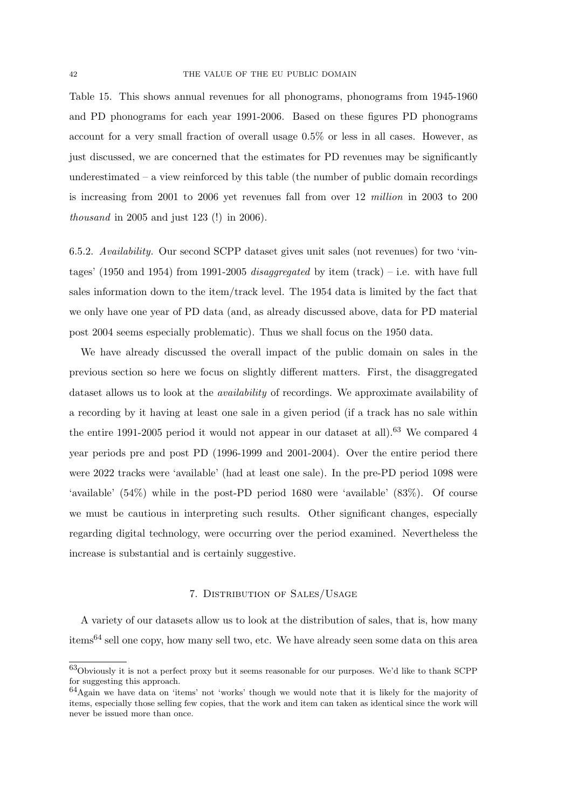Table 15. This shows annual revenues for all phonograms, phonograms from 1945-1960 and PD phonograms for each year 1991-2006. Based on these figures PD phonograms account for a very small fraction of overall usage 0.5% or less in all cases. However, as just discussed, we are concerned that the estimates for PD revenues may be significantly underestimated – a view reinforced by this table (the number of public domain recordings is increasing from 2001 to 2006 yet revenues fall from over 12 million in 2003 to 200 thousand in 2005 and just 123 (!) in 2006).

6.5.2. Availability. Our second SCPP dataset gives unit sales (not revenues) for two 'vintages' (1950 and 1954) from 1991-2005 *disaggregated* by item (track) – i.e. with have full sales information down to the item/track level. The 1954 data is limited by the fact that we only have one year of PD data (and, as already discussed above, data for PD material post 2004 seems especially problematic). Thus we shall focus on the 1950 data.

We have already discussed the overall impact of the public domain on sales in the previous section so here we focus on slightly different matters. First, the disaggregated dataset allows us to look at the availability of recordings. We approximate availability of a recording by it having at least one sale in a given period (if a track has no sale within the entire 1991-2005 period it would not appear in our dataset at all).<sup>63</sup> We compared 4 year periods pre and post PD (1996-1999 and 2001-2004). Over the entire period there were 2022 tracks were 'available' (had at least one sale). In the pre-PD period 1098 were 'available' (54%) while in the post-PD period 1680 were 'available' (83%). Of course we must be cautious in interpreting such results. Other significant changes, especially regarding digital technology, were occurring over the period examined. Nevertheless the increase is substantial and is certainly suggestive.

# 7. Distribution of Sales/Usage

A variety of our datasets allow us to look at the distribution of sales, that is, how many items<sup>64</sup> sell one copy, how many sell two, etc. We have already seen some data on this area

<sup>63</sup>Obviously it is not a perfect proxy but it seems reasonable for our purposes. We'd like to thank SCPP for suggesting this approach.

<sup>64</sup>Again we have data on 'items' not 'works' though we would note that it is likely for the majority of items, especially those selling few copies, that the work and item can taken as identical since the work will never be issued more than once.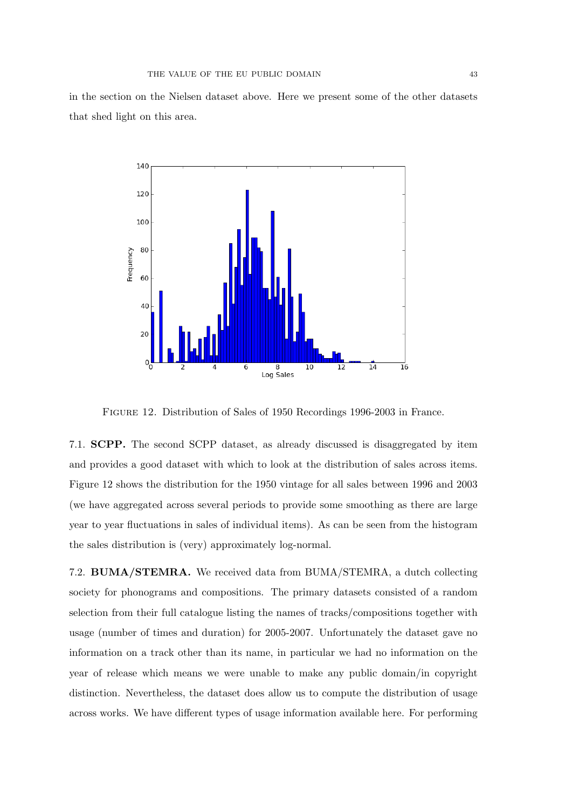in the section on the Nielsen dataset above. Here we present some of the other datasets that shed light on this area.



Figure 12. Distribution of Sales of 1950 Recordings 1996-2003 in France.

7.1. SCPP. The second SCPP dataset, as already discussed is disaggregated by item and provides a good dataset with which to look at the distribution of sales across items. Figure 12 shows the distribution for the 1950 vintage for all sales between 1996 and 2003 (we have aggregated across several periods to provide some smoothing as there are large year to year fluctuations in sales of individual items). As can be seen from the histogram the sales distribution is (very) approximately log-normal.

7.2. BUMA/STEMRA. We received data from BUMA/STEMRA, a dutch collecting society for phonograms and compositions. The primary datasets consisted of a random selection from their full catalogue listing the names of tracks/compositions together with usage (number of times and duration) for 2005-2007. Unfortunately the dataset gave no information on a track other than its name, in particular we had no information on the year of release which means we were unable to make any public domain/in copyright distinction. Nevertheless, the dataset does allow us to compute the distribution of usage across works. We have different types of usage information available here. For performing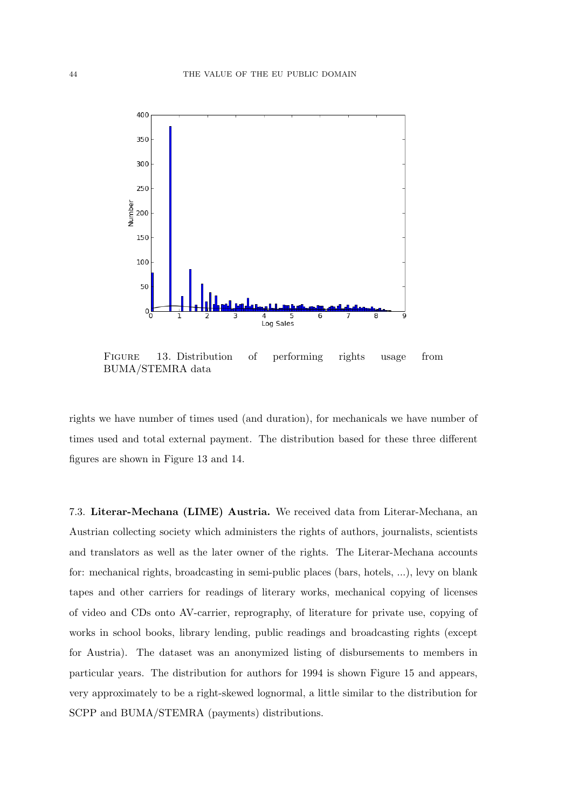

Figure 13. Distribution of performing rights usage from BUMA/STEMRA data

rights we have number of times used (and duration), for mechanicals we have number of times used and total external payment. The distribution based for these three different figures are shown in Figure 13 and 14.

7.3. Literar-Mechana (LIME) Austria. We received data from Literar-Mechana, an Austrian collecting society which administers the rights of authors, journalists, scientists and translators as well as the later owner of the rights. The Literar-Mechana accounts for: mechanical rights, broadcasting in semi-public places (bars, hotels, ...), levy on blank tapes and other carriers for readings of literary works, mechanical copying of licenses of video and CDs onto AV-carrier, reprography, of literature for private use, copying of works in school books, library lending, public readings and broadcasting rights (except for Austria). The dataset was an anonymized listing of disbursements to members in particular years. The distribution for authors for 1994 is shown Figure 15 and appears, very approximately to be a right-skewed lognormal, a little similar to the distribution for SCPP and BUMA/STEMRA (payments) distributions.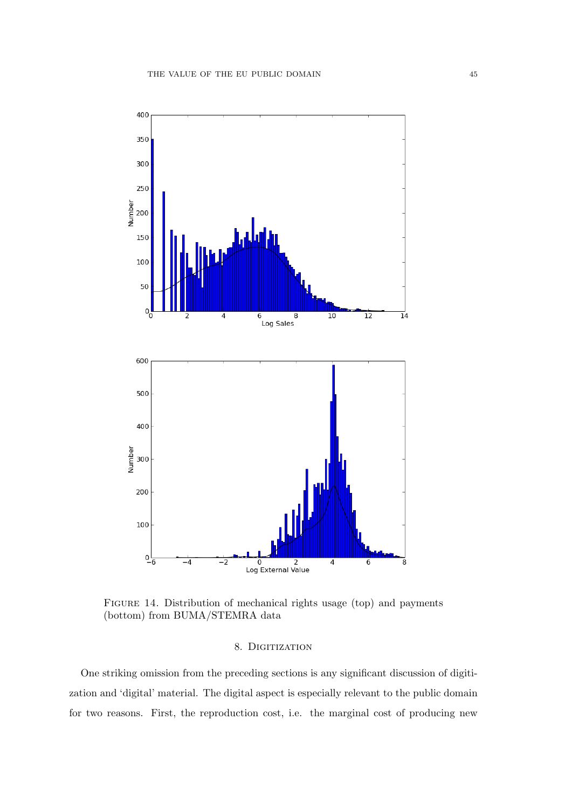

Figure 14. Distribution of mechanical rights usage (top) and payments (bottom) from BUMA/STEMRA data

# 8. DIGITIZATION

One striking omission from the preceding sections is any significant discussion of digitization and 'digital' material. The digital aspect is especially relevant to the public domain for two reasons. First, the reproduction cost, i.e. the marginal cost of producing new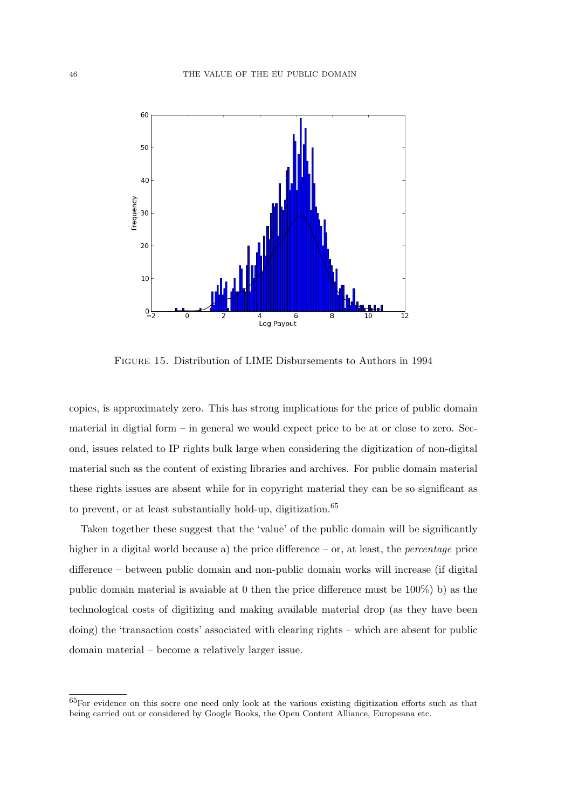

Figure 15. Distribution of LIME Disbursements to Authors in 1994

copies, is approximately zero. This has strong implications for the price of public domain material in digtial form – in general we would expect price to be at or close to zero. Second, issues related to IP rights bulk large when considering the digitization of non-digital material such as the content of existing libraries and archives. For public domain material these rights issues are absent while for in copyright material they can be so significant as to prevent, or at least substantially hold-up, digitization.<sup>65</sup>

Taken together these suggest that the 'value' of the public domain will be significantly higher in a digital world because a) the price difference – or, at least, the *percentage* price difference – between public domain and non-public domain works will increase (if digital public domain material is avaiable at 0 then the price difference must be 100%) b) as the technological costs of digitizing and making available material drop (as they have been doing) the 'transaction costs' associated with clearing rights – which are absent for public domain material – become a relatively larger issue.

<sup>65</sup>For evidence on this socre one need only look at the various existing digitization efforts such as that being carried out or considered by Google Books, the Open Content Alliance, Europeana etc.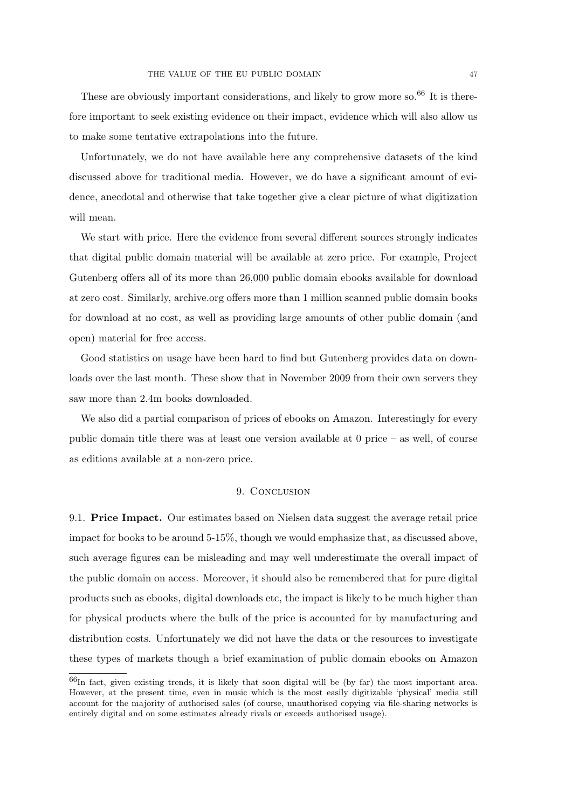These are obviously important considerations, and likely to grow more so.<sup>66</sup> It is therefore important to seek existing evidence on their impact, evidence which will also allow us to make some tentative extrapolations into the future.

Unfortunately, we do not have available here any comprehensive datasets of the kind discussed above for traditional media. However, we do have a significant amount of evidence, anecdotal and otherwise that take together give a clear picture of what digitization will mean.

We start with price. Here the evidence from several different sources strongly indicates that digital public domain material will be available at zero price. For example, Project Gutenberg offers all of its more than 26,000 public domain ebooks available for download at zero cost. Similarly, archive.org offers more than 1 million scanned public domain books for download at no cost, as well as providing large amounts of other public domain (and open) material for free access.

Good statistics on usage have been hard to find but Gutenberg provides data on downloads over the last month. These show that in November 2009 from their own servers they saw more than 2.4m books downloaded.

We also did a partial comparison of prices of ebooks on Amazon. Interestingly for every public domain title there was at least one version available at 0 price – as well, of course as editions available at a non-zero price.

# 9. Conclusion

9.1. Price Impact. Our estimates based on Nielsen data suggest the average retail price impact for books to be around 5-15%, though we would emphasize that, as discussed above, such average figures can be misleading and may well underestimate the overall impact of the public domain on access. Moreover, it should also be remembered that for pure digital products such as ebooks, digital downloads etc, the impact is likely to be much higher than for physical products where the bulk of the price is accounted for by manufacturing and distribution costs. Unfortunately we did not have the data or the resources to investigate these types of markets though a brief examination of public domain ebooks on Amazon

<sup>66</sup>In fact, given existing trends, it is likely that soon digital will be (by far) the most important area. However, at the present time, even in music which is the most easily digitizable 'physical' media still account for the majority of authorised sales (of course, unauthorised copying via file-sharing networks is entirely digital and on some estimates already rivals or exceeds authorised usage).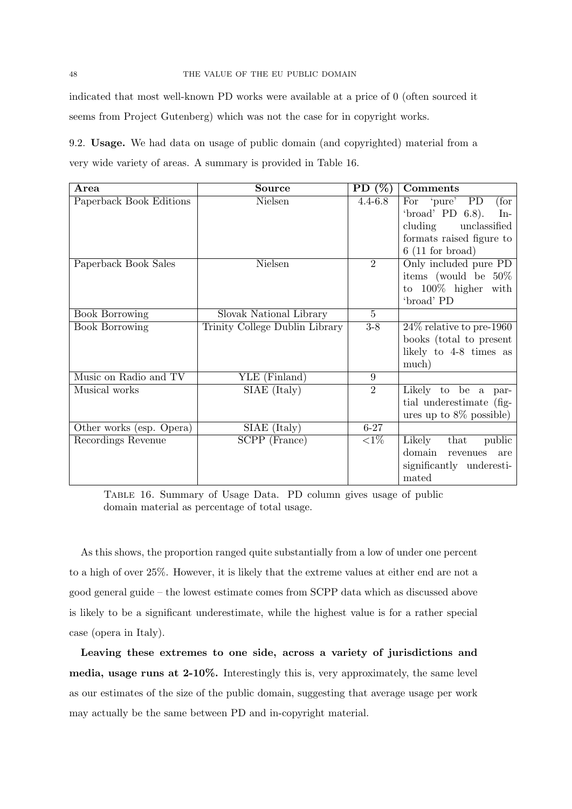indicated that most well-known PD works were available at a price of 0 (often sourced it seems from Project Gutenberg) which was not the case for in copyright works.

9.2. Usage. We had data on usage of public domain (and copyrighted) material from a very wide variety of areas. A summary is provided in Table 16.

| Area                     | <b>Source</b>                  | PD $(\%)$      | <b>Comments</b>              |
|--------------------------|--------------------------------|----------------|------------------------------|
| Paperback Book Editions  | Nielsen                        | $4.4 - 6.8$    | For 'pure' PD<br>(for        |
|                          |                                |                | 'broad' PD $6.8$ ).<br>$In-$ |
|                          |                                |                | cluding unclassified         |
|                          |                                |                | formats raised figure to     |
|                          |                                |                | $6(11$ for broad)            |
| Paperback Book Sales     | Nielsen                        | $\overline{2}$ | Only included pure PD        |
|                          |                                |                | items (would be $50\%$       |
|                          |                                |                | to $100\%$ higher with       |
|                          |                                |                | 'broad' PD                   |
| <b>Book Borrowing</b>    | Slovak National Library        | $\overline{5}$ |                              |
| <b>Book Borrowing</b>    | Trinity College Dublin Library | $3-8$          | $24\%$ relative to pre-1960  |
|                          |                                |                | books (total to present      |
|                          |                                |                | likely to 4-8 times as       |
|                          |                                |                | much)                        |
| Music on Radio and TV    | YLE (Finland)                  | 9              |                              |
| Musical works            | SIAE (Italy)                   | $\overline{2}$ | Likely to be a par-          |
|                          |                                |                | tial underestimate (fig-     |
|                          |                                |                | ures up to $8\%$ possible)   |
| Other works (esp. Opera) | SIAE (Italy)                   | $6 - 27$       |                              |
| Recordings Revenue       | SCPP (France)                  | ${<}1\%$       | Likely that<br>public        |
|                          |                                |                | domain<br>revenues<br>are    |
|                          |                                |                | significantly underesti-     |
|                          |                                |                | mated                        |

Table 16. Summary of Usage Data. PD column gives usage of public domain material as percentage of total usage.

As this shows, the proportion ranged quite substantially from a low of under one percent to a high of over 25%. However, it is likely that the extreme values at either end are not a good general guide – the lowest estimate comes from SCPP data which as discussed above is likely to be a significant underestimate, while the highest value is for a rather special case (opera in Italy).

Leaving these extremes to one side, across a variety of jurisdictions and media, usage runs at 2-10%. Interestingly this is, very approximately, the same level as our estimates of the size of the public domain, suggesting that average usage per work may actually be the same between PD and in-copyright material.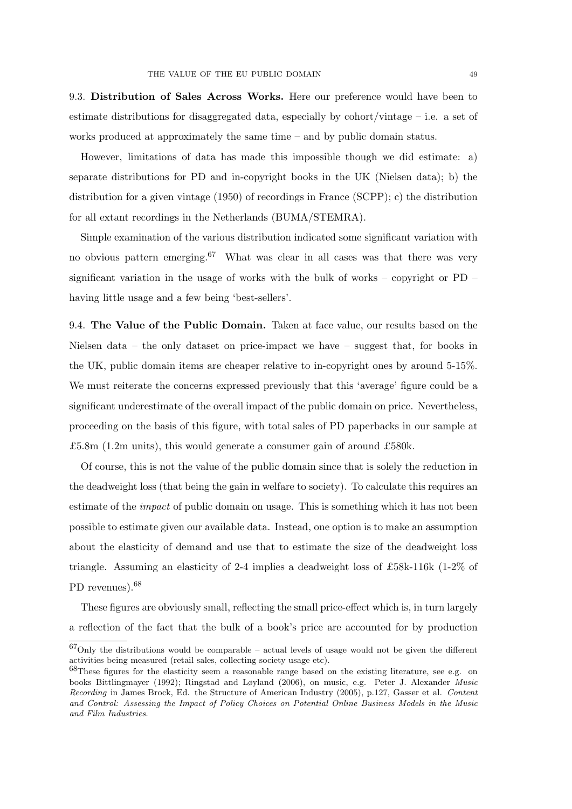9.3. Distribution of Sales Across Works. Here our preference would have been to estimate distributions for disaggregated data, especially by cohort/vintage – i.e. a set of works produced at approximately the same time – and by public domain status.

However, limitations of data has made this impossible though we did estimate: a) separate distributions for PD and in-copyright books in the UK (Nielsen data); b) the distribution for a given vintage (1950) of recordings in France (SCPP); c) the distribution for all extant recordings in the Netherlands (BUMA/STEMRA).

Simple examination of the various distribution indicated some significant variation with no obvious pattern emerging.<sup>67</sup> What was clear in all cases was that there was very significant variation in the usage of works with the bulk of works – copyright or PD – having little usage and a few being 'best-sellers'.

9.4. The Value of the Public Domain. Taken at face value, our results based on the Nielsen data – the only dataset on price-impact we have – suggest that, for books in the UK, public domain items are cheaper relative to in-copyright ones by around 5-15%. We must reiterate the concerns expressed previously that this 'average' figure could be a significant underestimate of the overall impact of the public domain on price. Nevertheless, proceeding on the basis of this figure, with total sales of PD paperbacks in our sample at £5.8m (1.2m units), this would generate a consumer gain of around £580k.

Of course, this is not the value of the public domain since that is solely the reduction in the deadweight loss (that being the gain in welfare to society). To calculate this requires an estimate of the *impact* of public domain on usage. This is something which it has not been possible to estimate given our available data. Instead, one option is to make an assumption about the elasticity of demand and use that to estimate the size of the deadweight loss triangle. Assuming an elasticity of 2-4 implies a deadweight loss of £58k-116k (1-2% of PD revenues).<sup>68</sup>

These figures are obviously small, reflecting the small price-effect which is, in turn largely a reflection of the fact that the bulk of a book's price are accounted for by production

 $67$ Only the distributions would be comparable – actual levels of usage would not be given the different activities being measured (retail sales, collecting society usage etc).

 $68$ These figures for the elasticity seem a reasonable range based on the existing literature, see e.g. on books Bittlingmayer (1992); Ringstad and Løyland (2006), on music, e.g. Peter J. Alexander Music Recording in James Brock, Ed. the Structure of American Industry (2005), p.127, Gasser et al. Content and Control: Assessing the Impact of Policy Choices on Potential Online Business Models in the Music and Film Industries.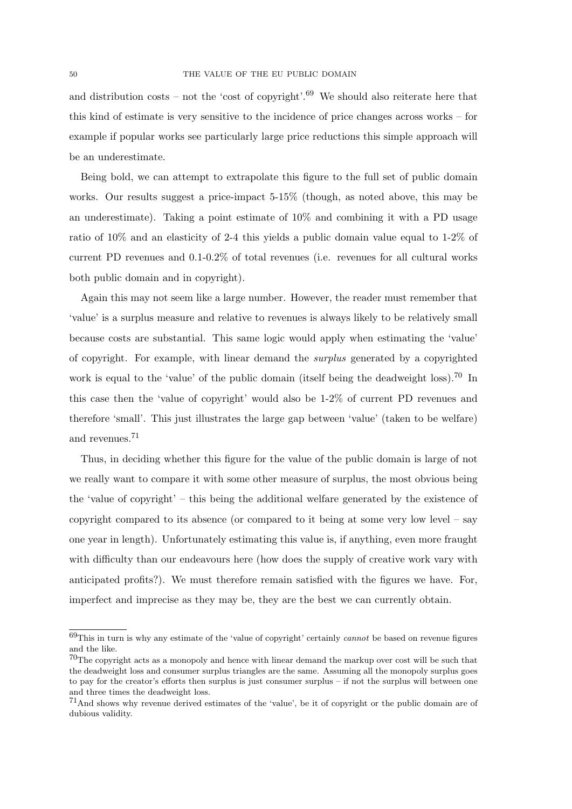and distribution costs – not the 'cost of copyright'.<sup>69</sup> We should also reiterate here that this kind of estimate is very sensitive to the incidence of price changes across works – for example if popular works see particularly large price reductions this simple approach will be an underestimate.

Being bold, we can attempt to extrapolate this figure to the full set of public domain works. Our results suggest a price-impact 5-15% (though, as noted above, this may be an underestimate). Taking a point estimate of 10% and combining it with a PD usage ratio of 10% and an elasticity of 2-4 this yields a public domain value equal to 1-2% of current PD revenues and 0.1-0.2% of total revenues (i.e. revenues for all cultural works both public domain and in copyright).

Again this may not seem like a large number. However, the reader must remember that 'value' is a surplus measure and relative to revenues is always likely to be relatively small because costs are substantial. This same logic would apply when estimating the 'value' of copyright. For example, with linear demand the surplus generated by a copyrighted work is equal to the 'value' of the public domain (itself being the deadweight loss).<sup>70</sup> In this case then the 'value of copyright' would also be 1-2% of current PD revenues and therefore 'small'. This just illustrates the large gap between 'value' (taken to be welfare) and revenues.<sup>71</sup>

Thus, in deciding whether this figure for the value of the public domain is large of not we really want to compare it with some other measure of surplus, the most obvious being the 'value of copyright' – this being the additional welfare generated by the existence of copyright compared to its absence (or compared to it being at some very low level – say one year in length). Unfortunately estimating this value is, if anything, even more fraught with difficulty than our endeavours here (how does the supply of creative work vary with anticipated profits?). We must therefore remain satisfied with the figures we have. For, imperfect and imprecise as they may be, they are the best we can currently obtain.

 $69$ This in turn is why any estimate of the 'value of copyright' certainly *cannot* be based on revenue figures and the like.

 $70$ The copyright acts as a monopoly and hence with linear demand the markup over cost will be such that the deadweight loss and consumer surplus triangles are the same. Assuming all the monopoly surplus goes to pay for the creator's efforts then surplus is just consumer surplus – if not the surplus will between one and three times the deadweight loss.

<sup>71</sup>And shows why revenue derived estimates of the 'value', be it of copyright or the public domain are of dubious validity.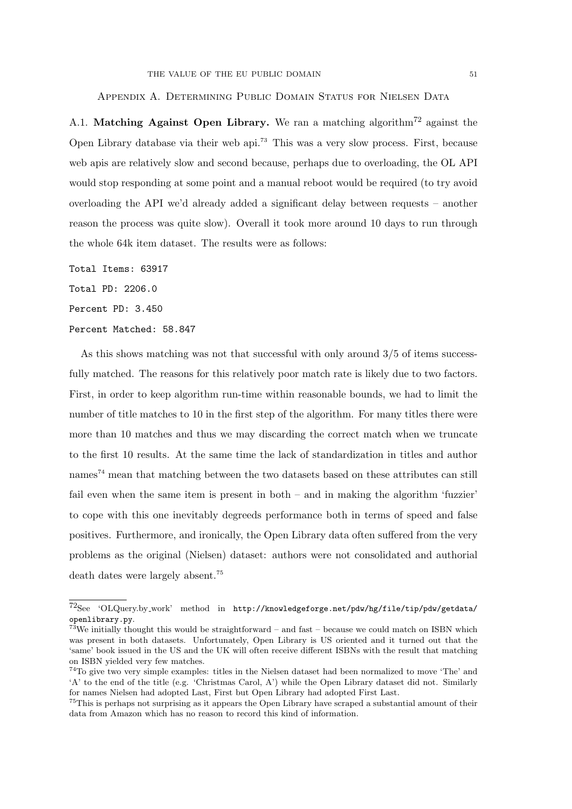# Appendix A. Determining Public Domain Status for Nielsen Data

A.1. Matching Against Open Library. We ran a matching algorithm<sup>72</sup> against the Open Library database via their web api.<sup>73</sup> This was a very slow process. First, because web apis are relatively slow and second because, perhaps due to overloading, the OL API would stop responding at some point and a manual reboot would be required (to try avoid overloading the API we'd already added a significant delay between requests – another reason the process was quite slow). Overall it took more around 10 days to run through the whole 64k item dataset. The results were as follows:

Total Items: 63917

Total PD: 2206.0

Percent PD: 3.450

#### Percent Matched: 58.847

As this shows matching was not that successful with only around 3/5 of items successfully matched. The reasons for this relatively poor match rate is likely due to two factors. First, in order to keep algorithm run-time within reasonable bounds, we had to limit the number of title matches to 10 in the first step of the algorithm. For many titles there were more than 10 matches and thus we may discarding the correct match when we truncate to the first 10 results. At the same time the lack of standardization in titles and author names<sup>74</sup> mean that matching between the two datasets based on these attributes can still fail even when the same item is present in both – and in making the algorithm 'fuzzier' to cope with this one inevitably degreeds performance both in terms of speed and false positives. Furthermore, and ironically, the Open Library data often suffered from the very problems as the original (Nielsen) dataset: authors were not consolidated and authorial death dates were largely absent.<sup>75</sup>

 $^{72}\text{See }\text{ `OLQuery}.\text{by}_\text{``work' }\text{method }\text{ in }\text{http://knowledgeforge.net}/\text{pdw/hg/file/tip}/\text{pdw/getdata/}$ openlibrary.py.

 $73$ We initially thought this would be straightforward – and fast – because we could match on ISBN which was present in both datasets. Unfortunately, Open Library is US oriented and it turned out that the 'same' book issued in the US and the UK will often receive different ISBNs with the result that matching on ISBN yielded very few matches.

<sup>74</sup>To give two very simple examples: titles in the Nielsen dataset had been normalized to move 'The' and 'A' to the end of the title (e.g. 'Christmas Carol, A') while the Open Library dataset did not. Similarly for names Nielsen had adopted Last, First but Open Library had adopted First Last.

<sup>&</sup>lt;sup>75</sup>This is perhaps not surprising as it appears the Open Library have scraped a substantial amount of their data from Amazon which has no reason to record this kind of information.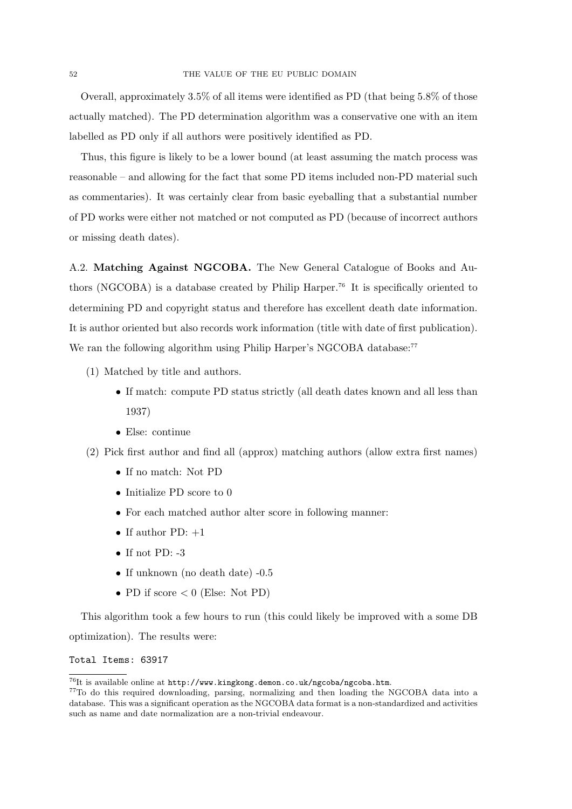Overall, approximately 3.5% of all items were identified as PD (that being 5.8% of those actually matched). The PD determination algorithm was a conservative one with an item labelled as PD only if all authors were positively identified as PD.

Thus, this figure is likely to be a lower bound (at least assuming the match process was reasonable – and allowing for the fact that some PD items included non-PD material such as commentaries). It was certainly clear from basic eyeballing that a substantial number of PD works were either not matched or not computed as PD (because of incorrect authors or missing death dates).

A.2. Matching Against NGCOBA. The New General Catalogue of Books and Authors (NGCOBA) is a database created by Philip Harper.<sup>76</sup> It is specifically oriented to determining PD and copyright status and therefore has excellent death date information. It is author oriented but also records work information (title with date of first publication). We ran the following algorithm using Philip Harper's NGCOBA database:<sup>77</sup>

- (1) Matched by title and authors.
	- If match: compute PD status strictly (all death dates known and all less than 1937)
	- Else: continue
- (2) Pick first author and find all (approx) matching authors (allow extra first names)
	- If no match: Not PD
	- Initialize PD score to 0
	- For each matched author alter score in following manner:
	- If author  $PD: +1$
	- If not PD:  $-3$
	- If unknown (no death date) -0.5
	- PD if score  $< 0$  (Else: Not PD)

This algorithm took a few hours to run (this could likely be improved with a some DB optimization). The results were:

# Total Items: 63917

 $^{76}\mathrm{It}$  is available online at  $\texttt{http://www.kingkong.demon.co.uk/ngcoba/ngcoba.html.}$ 

<sup>77</sup>To do this required downloading, parsing, normalizing and then loading the NGCOBA data into a database. This was a significant operation as the NGCOBA data format is a non-standardized and activities such as name and date normalization are a non-trivial endeavour.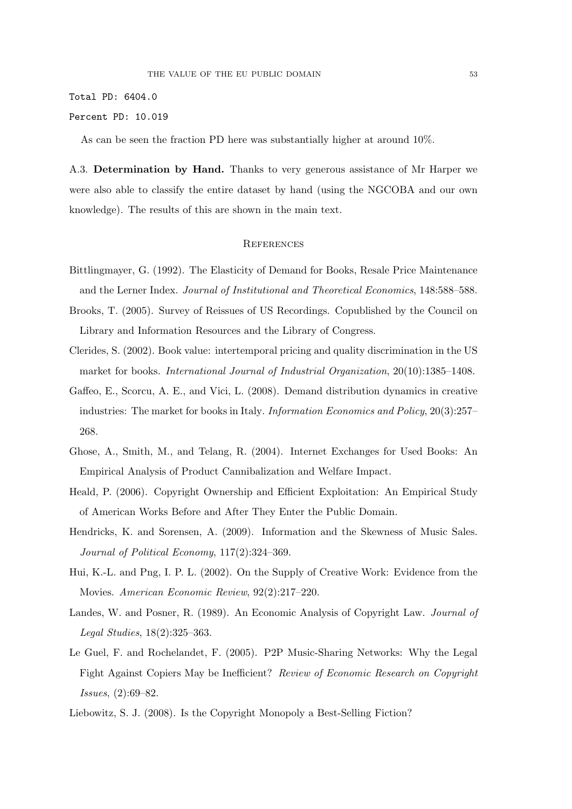Total PD: 6404.0

### Percent PD: 10.019

As can be seen the fraction PD here was substantially higher at around 10%.

A.3. Determination by Hand. Thanks to very generous assistance of Mr Harper we were also able to classify the entire dataset by hand (using the NGCOBA and our own knowledge). The results of this are shown in the main text.

### **REFERENCES**

- Bittlingmayer, G. (1992). The Elasticity of Demand for Books, Resale Price Maintenance and the Lerner Index. Journal of Institutional and Theoretical Economics, 148:588–588.
- Brooks, T. (2005). Survey of Reissues of US Recordings. Copublished by the Council on Library and Information Resources and the Library of Congress.
- Clerides, S. (2002). Book value: intertemporal pricing and quality discrimination in the US market for books. International Journal of Industrial Organization, 20(10):1385–1408.
- Gaffeo, E., Scorcu, A. E., and Vici, L. (2008). Demand distribution dynamics in creative industries: The market for books in Italy. Information Economics and Policy, 20(3):257– 268.
- Ghose, A., Smith, M., and Telang, R. (2004). Internet Exchanges for Used Books: An Empirical Analysis of Product Cannibalization and Welfare Impact.
- Heald, P. (2006). Copyright Ownership and Efficient Exploitation: An Empirical Study of American Works Before and After They Enter the Public Domain.
- Hendricks, K. and Sorensen, A. (2009). Information and the Skewness of Music Sales. Journal of Political Economy, 117(2):324–369.
- Hui, K.-L. and Png, I. P. L. (2002). On the Supply of Creative Work: Evidence from the Movies. American Economic Review, 92(2):217–220.
- Landes, W. and Posner, R. (1989). An Economic Analysis of Copyright Law. Journal of Legal Studies, 18(2):325–363.
- Le Guel, F. and Rochelandet, F. (2005). P2P Music-Sharing Networks: Why the Legal Fight Against Copiers May be Inefficient? Review of Economic Research on Copyright Issues, (2):69–82.
- Liebowitz, S. J. (2008). Is the Copyright Monopoly a Best-Selling Fiction?